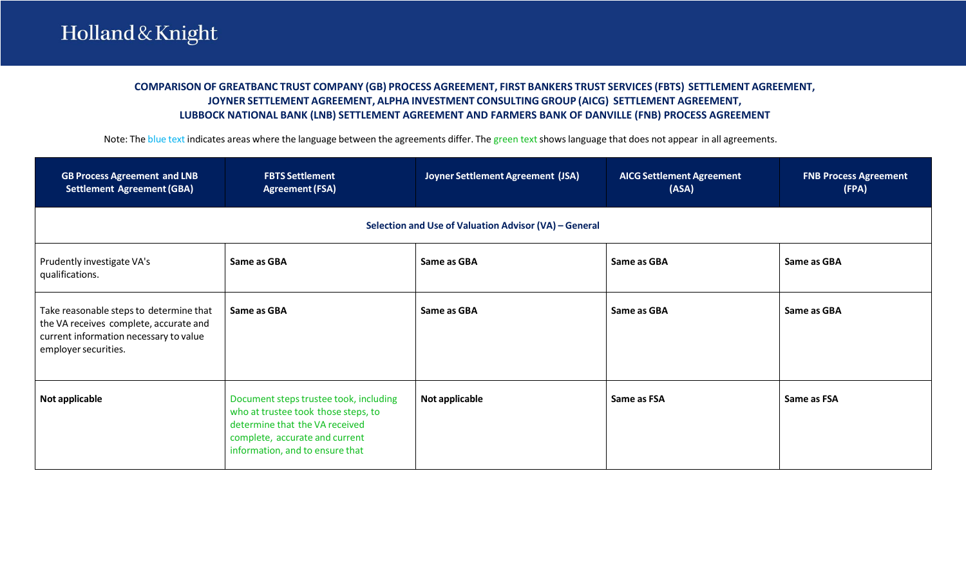## **COMPARISON OF GREATBANC TRUST COMPANY (GB) PROCESS AGREEMENT, FIRST BANKERS TRUST SERVICES (FBTS) SETTLEMENT AGREEMENT, JOYNER SETTLEMENT AGREEMENT, ALPHA INVESTMENT CONSULTING GROUP (AICG) SETTLEMENT AGREEMENT, LUBBOCK NATIONAL BANK (LNB) SETTLEMENT AGREEMENT AND FARMERS BANK OF DANVILLE (FNB) PROCESS AGREEMENT**

Note: The blue text indicates areas where the language between the agreements differ. The green text shows language that does not appear in all agreements.

| <b>GB Process Agreement and LNB</b><br><b>Settlement Agreement (GBA)</b>                                                                            | <b>FBTS Settlement</b><br><b>Agreement (FSA)</b>                                                                                                                                     | Joyner Settlement Agreement (JSA) | <b>AICG Settlement Agreement</b><br>(ASA) | <b>FNB Process Agreement</b><br>(FPA) |  |  |  |
|-----------------------------------------------------------------------------------------------------------------------------------------------------|--------------------------------------------------------------------------------------------------------------------------------------------------------------------------------------|-----------------------------------|-------------------------------------------|---------------------------------------|--|--|--|
|                                                                                                                                                     | Selection and Use of Valuation Advisor (VA) - General                                                                                                                                |                                   |                                           |                                       |  |  |  |
| Prudently investigate VA's<br>qualifications.                                                                                                       | Same as GBA                                                                                                                                                                          | Same as GBA                       | Same as GBA                               | Same as GBA                           |  |  |  |
| Take reasonable steps to determine that<br>the VA receives complete, accurate and<br>current information necessary to value<br>employer securities. | Same as GBA                                                                                                                                                                          | Same as GBA                       | Same as GBA                               | Same as GBA                           |  |  |  |
| Not applicable                                                                                                                                      | Document steps trustee took, including<br>who at trustee took those steps, to<br>determine that the VA received<br>complete, accurate and current<br>information, and to ensure that | Not applicable                    | Same as FSA                               | Same as FSA                           |  |  |  |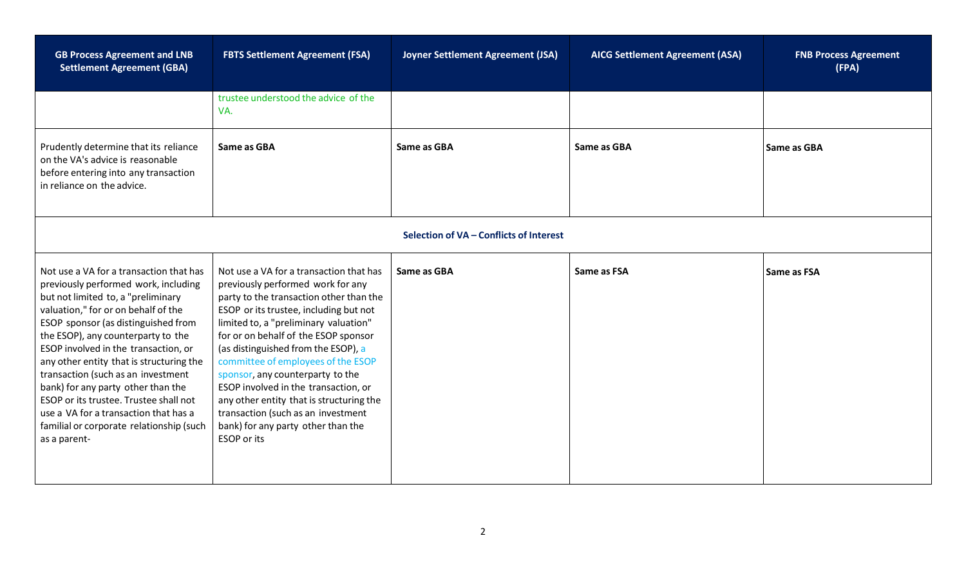| <b>GB Process Agreement and LNB</b><br><b>Settlement Agreement (GBA)</b>                                                                                                                                                                                                                                                                                                                                                                                                                                                                                 | <b>FBTS Settlement Agreement (FSA)</b>                                                                                                                                                                                                                                                                                                                                                                                                                                                                                                             | Joyner Settlement Agreement (JSA)       | <b>AICG Settlement Agreement (ASA)</b> | <b>FNB Process Agreement</b><br>(FPA) |
|----------------------------------------------------------------------------------------------------------------------------------------------------------------------------------------------------------------------------------------------------------------------------------------------------------------------------------------------------------------------------------------------------------------------------------------------------------------------------------------------------------------------------------------------------------|----------------------------------------------------------------------------------------------------------------------------------------------------------------------------------------------------------------------------------------------------------------------------------------------------------------------------------------------------------------------------------------------------------------------------------------------------------------------------------------------------------------------------------------------------|-----------------------------------------|----------------------------------------|---------------------------------------|
|                                                                                                                                                                                                                                                                                                                                                                                                                                                                                                                                                          | trustee understood the advice of the<br>VA.                                                                                                                                                                                                                                                                                                                                                                                                                                                                                                        |                                         |                                        |                                       |
| Prudently determine that its reliance<br>on the VA's advice is reasonable<br>before entering into any transaction<br>in reliance on the advice.                                                                                                                                                                                                                                                                                                                                                                                                          | Same as GBA                                                                                                                                                                                                                                                                                                                                                                                                                                                                                                                                        | Same as GBA                             | Same as GBA                            | <b>Same as GBA</b>                    |
|                                                                                                                                                                                                                                                                                                                                                                                                                                                                                                                                                          |                                                                                                                                                                                                                                                                                                                                                                                                                                                                                                                                                    | Selection of VA - Conflicts of Interest |                                        |                                       |
| Not use a VA for a transaction that has<br>previously performed work, including<br>but not limited to, a "preliminary<br>valuation," for or on behalf of the<br>ESOP sponsor (as distinguished from<br>the ESOP), any counterparty to the<br>ESOP involved in the transaction, or<br>any other entity that is structuring the<br>transaction (such as an investment<br>bank) for any party other than the<br>ESOP or its trustee. Trustee shall not<br>use a VA for a transaction that has a<br>familial or corporate relationship (such<br>as a parent- | Not use a VA for a transaction that has<br>previously performed work for any<br>party to the transaction other than the<br>ESOP or its trustee, including but not<br>limited to, a "preliminary valuation"<br>for or on behalf of the ESOP sponsor<br>(as distinguished from the ESOP), a<br>committee of employees of the ESOP<br>sponsor, any counterparty to the<br>ESOP involved in the transaction, or<br>any other entity that is structuring the<br>transaction (such as an investment<br>bank) for any party other than the<br>ESOP or its | Same as GBA                             | Same as FSA                            | <b>Same as FSA</b>                    |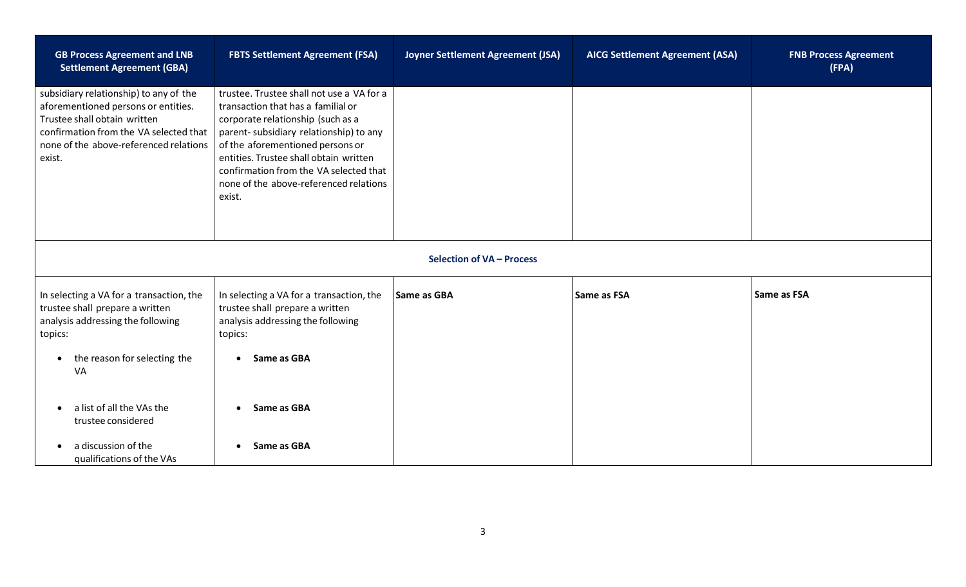| <b>GB Process Agreement and LNB</b><br><b>Settlement Agreement (GBA)</b>                                                                                                                                    | <b>FBTS Settlement Agreement (FSA)</b>                                                                                                                                                                                                                                                                                                     | Joyner Settlement Agreement (JSA) | <b>AICG Settlement Agreement (ASA)</b> | <b>FNB Process Agreement</b><br>(FPA) |  |  |
|-------------------------------------------------------------------------------------------------------------------------------------------------------------------------------------------------------------|--------------------------------------------------------------------------------------------------------------------------------------------------------------------------------------------------------------------------------------------------------------------------------------------------------------------------------------------|-----------------------------------|----------------------------------------|---------------------------------------|--|--|
| subsidiary relationship) to any of the<br>aforementioned persons or entities.<br>Trustee shall obtain written<br>confirmation from the VA selected that<br>none of the above-referenced relations<br>exist. | trustee. Trustee shall not use a VA for a<br>transaction that has a familial or<br>corporate relationship (such as a<br>parent-subsidiary relationship) to any<br>of the aforementioned persons or<br>entities. Trustee shall obtain written<br>confirmation from the VA selected that<br>none of the above-referenced relations<br>exist. |                                   |                                        |                                       |  |  |
|                                                                                                                                                                                                             | Selection of VA - Process                                                                                                                                                                                                                                                                                                                  |                                   |                                        |                                       |  |  |
| In selecting a VA for a transaction, the<br>trustee shall prepare a written<br>analysis addressing the following<br>topics:                                                                                 | In selecting a VA for a transaction, the<br>trustee shall prepare a written<br>analysis addressing the following<br>topics:                                                                                                                                                                                                                | Same as GBA                       | Same as FSA                            | Same as FSA                           |  |  |
| the reason for selecting the<br>VA                                                                                                                                                                          | Same as GBA                                                                                                                                                                                                                                                                                                                                |                                   |                                        |                                       |  |  |
| a list of all the VAs the<br>trustee considered                                                                                                                                                             | • Same as GBA                                                                                                                                                                                                                                                                                                                              |                                   |                                        |                                       |  |  |
| a discussion of the<br>qualifications of the VAs                                                                                                                                                            | Same as GBA                                                                                                                                                                                                                                                                                                                                |                                   |                                        |                                       |  |  |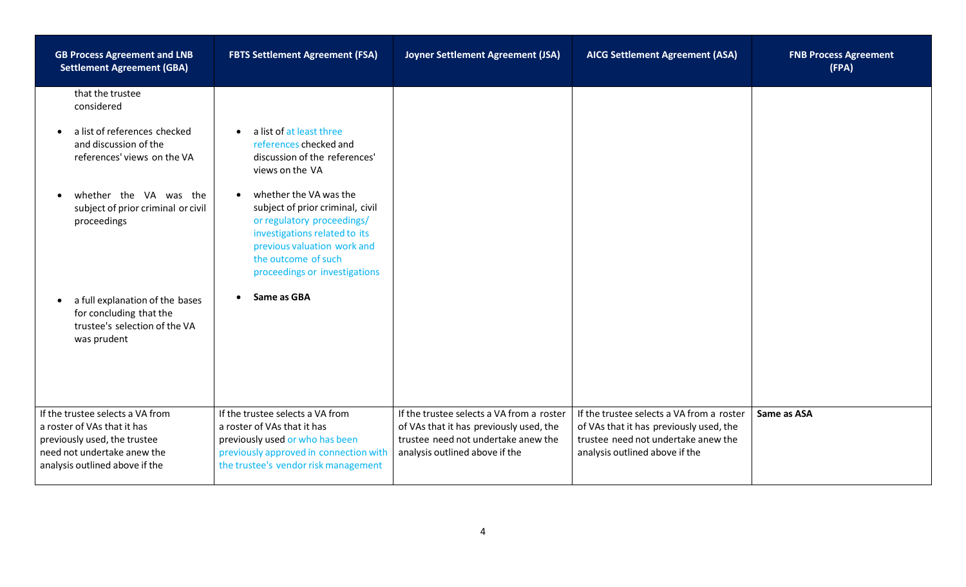| <b>GB Process Agreement and LNB</b><br><b>Settlement Agreement (GBA)</b>                                                                                         | <b>FBTS Settlement Agreement (FSA)</b>                                                                                                                                                                                        | Joyner Settlement Agreement (JSA)                                                                                                                             | <b>AICG Settlement Agreement (ASA)</b>                                                                                                                        | <b>FNB Process Agreement</b><br>(FPA) |
|------------------------------------------------------------------------------------------------------------------------------------------------------------------|-------------------------------------------------------------------------------------------------------------------------------------------------------------------------------------------------------------------------------|---------------------------------------------------------------------------------------------------------------------------------------------------------------|---------------------------------------------------------------------------------------------------------------------------------------------------------------|---------------------------------------|
| that the trustee<br>considered                                                                                                                                   |                                                                                                                                                                                                                               |                                                                                                                                                               |                                                                                                                                                               |                                       |
| a list of references checked<br>$\bullet$<br>and discussion of the<br>references' views on the VA                                                                | a list of at least three<br>$\bullet$<br>references checked and<br>discussion of the references'<br>views on the VA                                                                                                           |                                                                                                                                                               |                                                                                                                                                               |                                       |
| whether the VA was the<br>$\bullet$<br>subject of prior criminal or civil<br>proceedings                                                                         | whether the VA was the<br>$\bullet$<br>subject of prior criminal, civil<br>or regulatory proceedings/<br>investigations related to its<br>previous valuation work and<br>the outcome of such<br>proceedings or investigations |                                                                                                                                                               |                                                                                                                                                               |                                       |
| a full explanation of the bases<br>$\bullet$<br>for concluding that the<br>trustee's selection of the VA<br>was prudent                                          | Same as GBA<br>$\bullet$                                                                                                                                                                                                      |                                                                                                                                                               |                                                                                                                                                               |                                       |
| If the trustee selects a VA from<br>a roster of VAs that it has<br>previously used, the trustee<br>need not undertake anew the<br>analysis outlined above if the | If the trustee selects a VA from<br>a roster of VAs that it has<br>previously used or who has been<br>previously approved in connection with<br>the trustee's vendor risk management                                          | If the trustee selects a VA from a roster<br>of VAs that it has previously used, the<br>trustee need not undertake anew the<br>analysis outlined above if the | If the trustee selects a VA from a roster<br>of VAs that it has previously used, the<br>trustee need not undertake anew the<br>analysis outlined above if the | Same as ASA                           |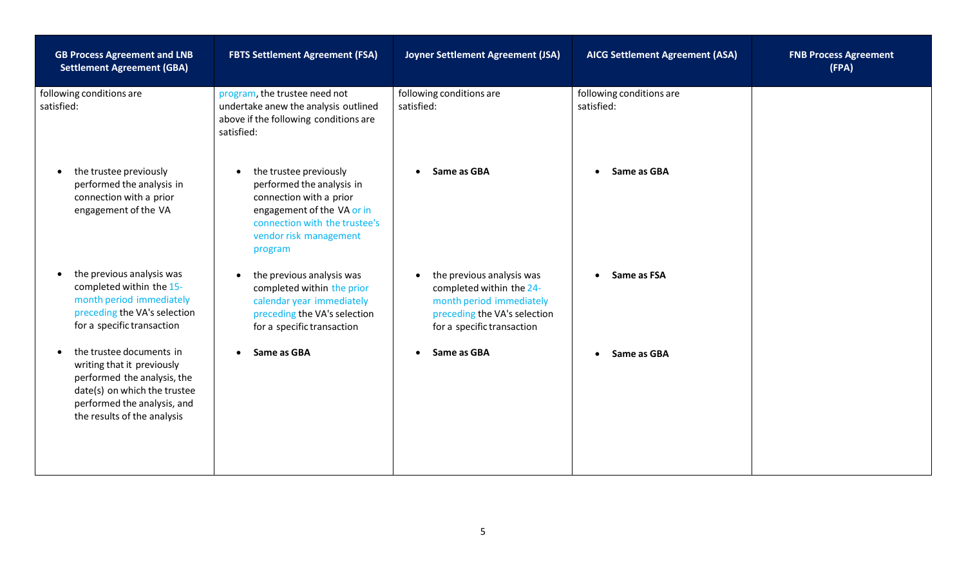| <b>GB Process Agreement and LNB</b><br><b>Settlement Agreement (GBA)</b>                                                                                                            | <b>FBTS Settlement Agreement (FSA)</b>                                                                                                                                             | Joyner Settlement Agreement (JSA)                                                                                                               | <b>AICG Settlement Agreement (ASA)</b> | <b>FNB Process Agreement</b><br>(FPA) |
|-------------------------------------------------------------------------------------------------------------------------------------------------------------------------------------|------------------------------------------------------------------------------------------------------------------------------------------------------------------------------------|-------------------------------------------------------------------------------------------------------------------------------------------------|----------------------------------------|---------------------------------------|
| following conditions are<br>satisfied:                                                                                                                                              | program, the trustee need not<br>undertake anew the analysis outlined<br>above if the following conditions are<br>satisfied:                                                       | following conditions are<br>satisfied:                                                                                                          | following conditions are<br>satisfied: |                                       |
| the trustee previously<br>performed the analysis in<br>connection with a prior<br>engagement of the VA                                                                              | the trustee previously<br>performed the analysis in<br>connection with a prior<br>engagement of the VA or in<br>connection with the trustee's<br>vendor risk management<br>program | Same as GBA                                                                                                                                     | Same as GBA<br>$\bullet$               |                                       |
| the previous analysis was<br>completed within the 15-<br>month period immediately<br>preceding the VA's selection<br>for a specific transaction                                     | the previous analysis was<br>$\bullet$<br>completed within the prior<br>calendar year immediately<br>preceding the VA's selection<br>for a specific transaction                    | the previous analysis was<br>completed within the 24-<br>month period immediately<br>preceding the VA's selection<br>for a specific transaction | Same as FSA                            |                                       |
| the trustee documents in<br>writing that it previously<br>performed the analysis, the<br>date(s) on which the trustee<br>performed the analysis, and<br>the results of the analysis | Same as GBA                                                                                                                                                                        | Same as GBA                                                                                                                                     | Same as GBA                            |                                       |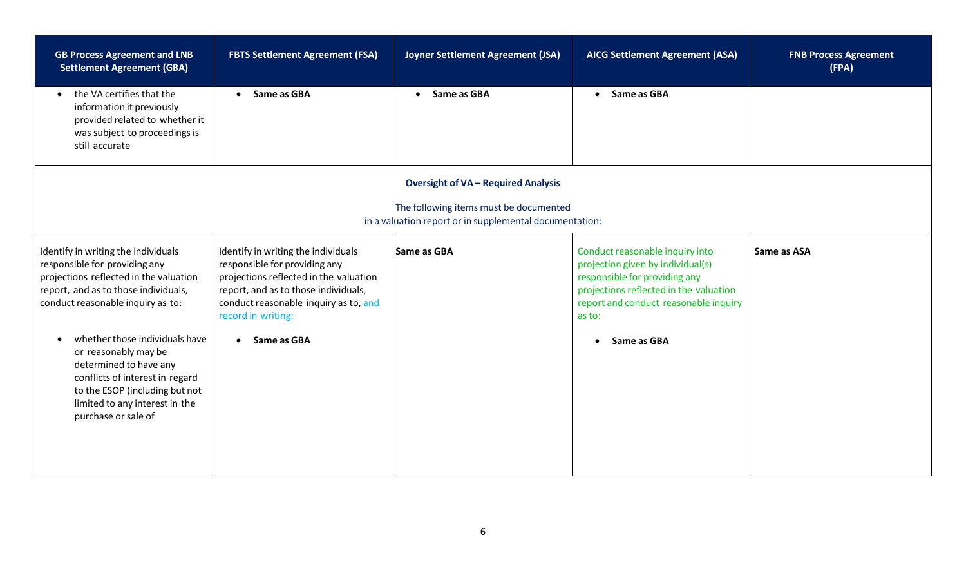| <b>FBTS Settlement Agreement (FSA)</b>                                                                                                                                                                                | Joyner Settlement Agreement (JSA)          | <b>AICG Settlement Agreement (ASA)</b>                                                                                                                                                             | <b>FNB Process Agreement</b><br>(FPA)                                                             |
|-----------------------------------------------------------------------------------------------------------------------------------------------------------------------------------------------------------------------|--------------------------------------------|----------------------------------------------------------------------------------------------------------------------------------------------------------------------------------------------------|---------------------------------------------------------------------------------------------------|
| • Same as GBA                                                                                                                                                                                                         | Same as GBA<br>$\bullet$                   | Same as GBA                                                                                                                                                                                        |                                                                                                   |
|                                                                                                                                                                                                                       | <b>Oversight of VA - Required Analysis</b> |                                                                                                                                                                                                    |                                                                                                   |
|                                                                                                                                                                                                                       |                                            |                                                                                                                                                                                                    |                                                                                                   |
| Identify in writing the individuals<br>responsible for providing any<br>projections reflected in the valuation<br>report, and as to those individuals,<br>conduct reasonable inquiry as to, and<br>record in writing: |                                            | Conduct reasonable inquiry into<br>projection given by individual(s)<br>responsible for providing any<br>projections reflected in the valuation<br>report and conduct reasonable inquiry<br>as to: | Same as ASA                                                                                       |
| • Same as GBA                                                                                                                                                                                                         |                                            | Same as GBA<br>$\bullet$                                                                                                                                                                           |                                                                                                   |
|                                                                                                                                                                                                                       |                                            | <b>Same as GBA</b>                                                                                                                                                                                 | The following items must be documented<br>in a valuation report or in supplemental documentation: |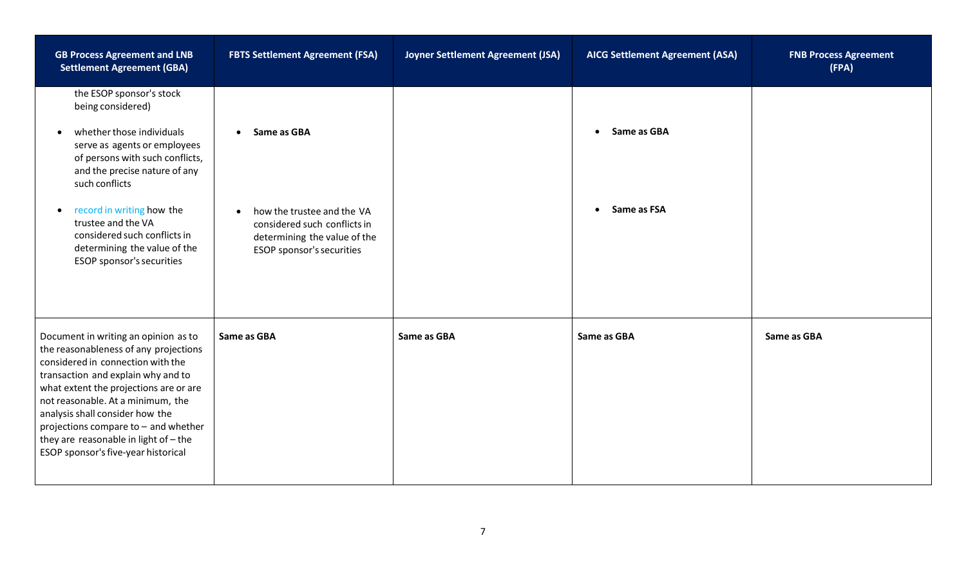| <b>GB Process Agreement and LNB</b><br><b>Settlement Agreement (GBA)</b>                                                                                                                                                                                                                                                                                                                             | <b>FBTS Settlement Agreement (FSA)</b>                                                                                               | Joyner Settlement Agreement (JSA) | <b>AICG Settlement Agreement (ASA)</b> | <b>FNB Process Agreement</b><br>(FPA) |
|------------------------------------------------------------------------------------------------------------------------------------------------------------------------------------------------------------------------------------------------------------------------------------------------------------------------------------------------------------------------------------------------------|--------------------------------------------------------------------------------------------------------------------------------------|-----------------------------------|----------------------------------------|---------------------------------------|
| the ESOP sponsor's stock<br>being considered)                                                                                                                                                                                                                                                                                                                                                        |                                                                                                                                      |                                   |                                        |                                       |
| whether those individuals<br>$\bullet$<br>serve as agents or employees<br>of persons with such conflicts,<br>and the precise nature of any<br>such conflicts                                                                                                                                                                                                                                         | Same as GBA<br>$\bullet$                                                                                                             |                                   | Same as GBA<br>$\bullet$               |                                       |
| record in writing how the<br>$\bullet$<br>trustee and the VA<br>considered such conflicts in<br>determining the value of the<br>ESOP sponsor's securities                                                                                                                                                                                                                                            | how the trustee and the VA<br>$\bullet$<br>considered such conflicts in<br>determining the value of the<br>ESOP sponsor's securities |                                   | Same as FSA<br>$\bullet$               |                                       |
| Document in writing an opinion as to<br>the reasonableness of any projections<br>considered in connection with the<br>transaction and explain why and to<br>what extent the projections are or are<br>not reasonable. At a minimum, the<br>analysis shall consider how the<br>projections compare to - and whether<br>they are reasonable in light of $-$ the<br>ESOP sponsor's five-year historical | Same as GBA                                                                                                                          | Same as GBA                       | Same as GBA                            | Same as GBA                           |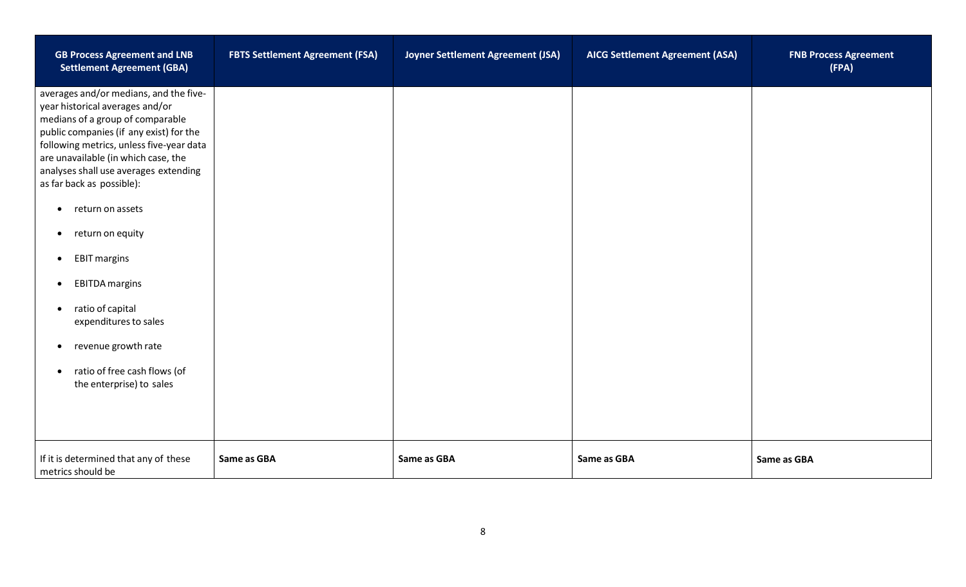| <b>GB Process Agreement and LNB</b><br><b>Settlement Agreement (GBA)</b>                                                                                                                                                                                                                                                                                                                                                                                                                                                                                                                                                             | <b>FBTS Settlement Agreement (FSA)</b> | Joyner Settlement Agreement (JSA) | <b>AICG Settlement Agreement (ASA)</b> | <b>FNB Process Agreement</b><br>(FPA) |
|--------------------------------------------------------------------------------------------------------------------------------------------------------------------------------------------------------------------------------------------------------------------------------------------------------------------------------------------------------------------------------------------------------------------------------------------------------------------------------------------------------------------------------------------------------------------------------------------------------------------------------------|----------------------------------------|-----------------------------------|----------------------------------------|---------------------------------------|
| averages and/or medians, and the five-<br>year historical averages and/or<br>medians of a group of comparable<br>public companies (if any exist) for the<br>following metrics, unless five-year data<br>are unavailable (in which case, the<br>analyses shall use averages extending<br>as far back as possible):<br>return on assets<br>$\bullet$<br>return on equity<br>$\bullet$<br><b>EBIT margins</b><br>$\bullet$<br><b>EBITDA</b> margins<br>$\bullet$<br>ratio of capital<br>$\bullet$<br>expenditures to sales<br>revenue growth rate<br>$\bullet$<br>ratio of free cash flows (of<br>$\bullet$<br>the enterprise) to sales |                                        |                                   |                                        |                                       |
| If it is determined that any of these<br>metrics should be                                                                                                                                                                                                                                                                                                                                                                                                                                                                                                                                                                           | Same as GBA                            | Same as GBA                       | Same as GBA                            | Same as GBA                           |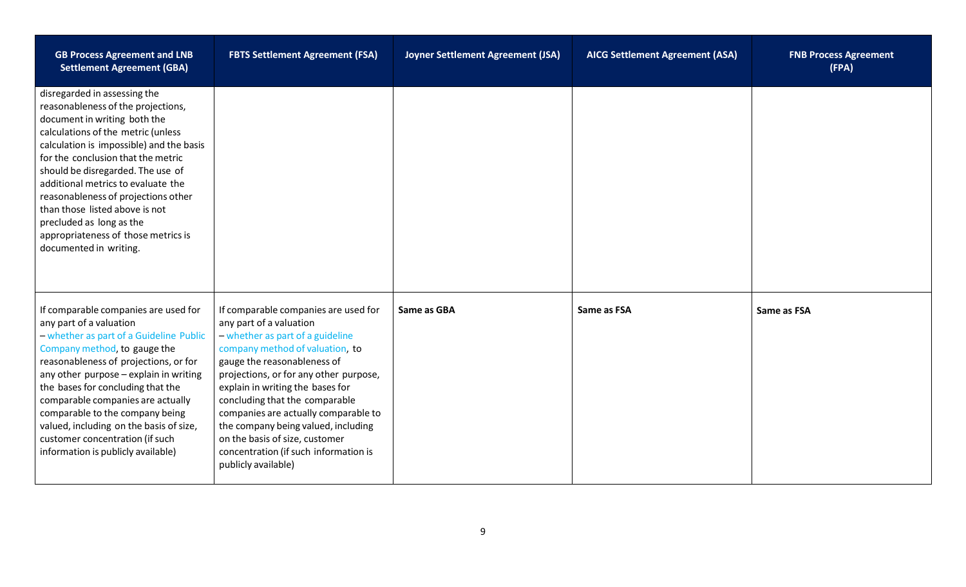| <b>GB Process Agreement and LNB</b><br><b>Settlement Agreement (GBA)</b>                                                                                                                                                                                                                                                                                                                                                                                                    | <b>FBTS Settlement Agreement (FSA)</b>                                                                                                                                                                                                                                                                                                                                                                                                                                 | Joyner Settlement Agreement (JSA) | <b>AICG Settlement Agreement (ASA)</b> | <b>FNB Process Agreement</b><br>(FPA) |
|-----------------------------------------------------------------------------------------------------------------------------------------------------------------------------------------------------------------------------------------------------------------------------------------------------------------------------------------------------------------------------------------------------------------------------------------------------------------------------|------------------------------------------------------------------------------------------------------------------------------------------------------------------------------------------------------------------------------------------------------------------------------------------------------------------------------------------------------------------------------------------------------------------------------------------------------------------------|-----------------------------------|----------------------------------------|---------------------------------------|
| disregarded in assessing the<br>reasonableness of the projections,<br>document in writing both the<br>calculations of the metric (unless<br>calculation is impossible) and the basis<br>for the conclusion that the metric<br>should be disregarded. The use of<br>additional metrics to evaluate the<br>reasonableness of projections other<br>than those listed above is not<br>precluded as long as the<br>appropriateness of those metrics is<br>documented in writing. |                                                                                                                                                                                                                                                                                                                                                                                                                                                                        |                                   |                                        |                                       |
| If comparable companies are used for<br>any part of a valuation<br>- whether as part of a Guideline Public<br>Company method, to gauge the<br>reasonableness of projections, or for<br>any other purpose - explain in writing<br>the bases for concluding that the<br>comparable companies are actually<br>comparable to the company being<br>valued, including on the basis of size,<br>customer concentration (if such<br>information is publicly available)              | If comparable companies are used for<br>any part of a valuation<br>- whether as part of a guideline<br>company method of valuation, to<br>gauge the reasonableness of<br>projections, or for any other purpose,<br>explain in writing the bases for<br>concluding that the comparable<br>companies are actually comparable to<br>the company being valued, including<br>on the basis of size, customer<br>concentration (if such information is<br>publicly available) | Same as GBA                       | Same as FSA                            | Same as FSA                           |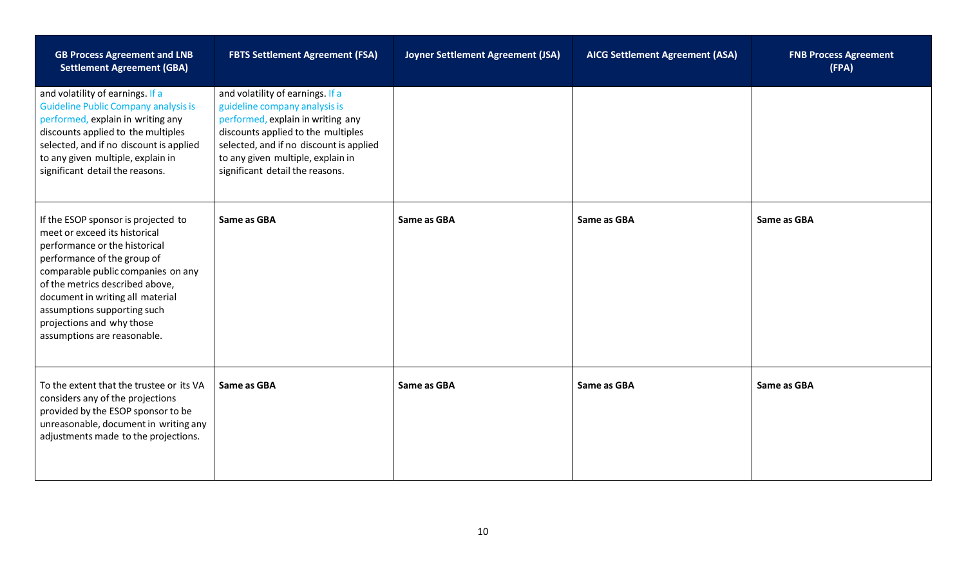| <b>GB Process Agreement and LNB</b><br><b>Settlement Agreement (GBA)</b>                                                                                                                                                                                                                                                                     | <b>FBTS Settlement Agreement (FSA)</b>                                                                                                                                                                                                                          | Joyner Settlement Agreement (JSA) | <b>AICG Settlement Agreement (ASA)</b> | <b>FNB Process Agreement</b><br>(FPA) |
|----------------------------------------------------------------------------------------------------------------------------------------------------------------------------------------------------------------------------------------------------------------------------------------------------------------------------------------------|-----------------------------------------------------------------------------------------------------------------------------------------------------------------------------------------------------------------------------------------------------------------|-----------------------------------|----------------------------------------|---------------------------------------|
| and volatility of earnings. If a<br><b>Guideline Public Company analysis is</b><br>performed, explain in writing any<br>discounts applied to the multiples<br>selected, and if no discount is applied<br>to any given multiple, explain in<br>significant detail the reasons.                                                                | and volatility of earnings. If a<br>guideline company analysis is<br>performed, explain in writing any<br>discounts applied to the multiples<br>selected, and if no discount is applied<br>to any given multiple, explain in<br>significant detail the reasons. |                                   |                                        |                                       |
| If the ESOP sponsor is projected to<br>meet or exceed its historical<br>performance or the historical<br>performance of the group of<br>comparable public companies on any<br>of the metrics described above,<br>document in writing all material<br>assumptions supporting such<br>projections and why those<br>assumptions are reasonable. | Same as GBA                                                                                                                                                                                                                                                     | Same as GBA                       | Same as GBA                            | Same as GBA                           |
| To the extent that the trustee or its VA<br>considers any of the projections<br>provided by the ESOP sponsor to be<br>unreasonable, document in writing any<br>adjustments made to the projections.                                                                                                                                          | Same as GBA                                                                                                                                                                                                                                                     | Same as GBA                       | Same as GBA                            | Same as GBA                           |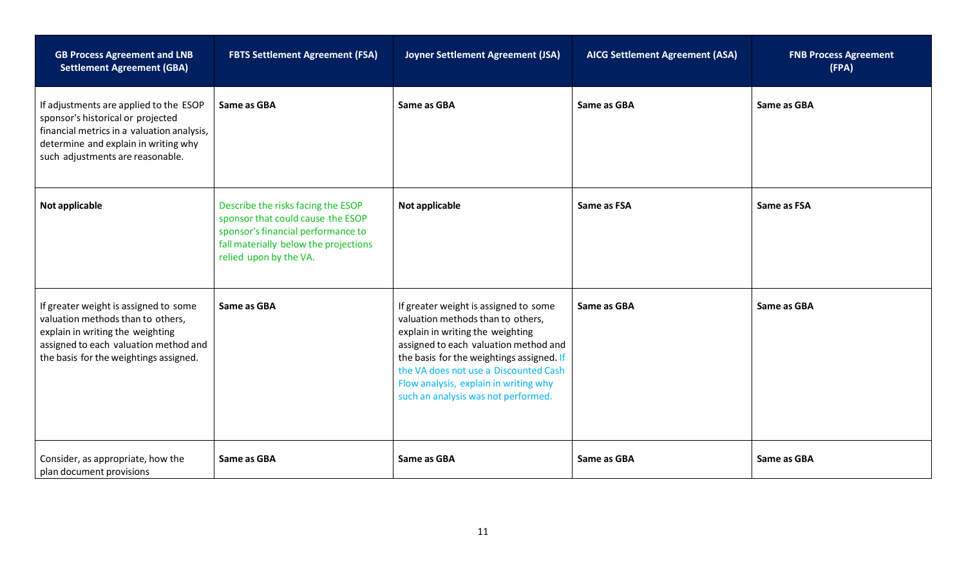| <b>GB Process Agreement and LNB</b><br><b>Settlement Agreement (GBA)</b>                                                                                                                              | <b>FBTS Settlement Agreement (FSA)</b>                                                                                                                                           | Joyner Settlement Agreement (JSA)                                                                                                                                                                                                                                                                                             | <b>AICG Settlement Agreement (ASA)</b> | <b>FNB Process Agreement</b><br>(FPA) |
|-------------------------------------------------------------------------------------------------------------------------------------------------------------------------------------------------------|----------------------------------------------------------------------------------------------------------------------------------------------------------------------------------|-------------------------------------------------------------------------------------------------------------------------------------------------------------------------------------------------------------------------------------------------------------------------------------------------------------------------------|----------------------------------------|---------------------------------------|
| If adjustments are applied to the ESOP<br>sponsor's historical or projected<br>financial metrics in a valuation analysis,<br>determine and explain in writing why<br>such adjustments are reasonable. | Same as GBA                                                                                                                                                                      | Same as GBA                                                                                                                                                                                                                                                                                                                   | Same as GBA                            | Same as GBA                           |
| Not applicable                                                                                                                                                                                        | Describe the risks facing the ESOP<br>sponsor that could cause the ESOP<br>sponsor's financial performance to<br>fall materially below the projections<br>relied upon by the VA. | Not applicable                                                                                                                                                                                                                                                                                                                | Same as FSA                            | Same as FSA                           |
| If greater weight is assigned to some<br>valuation methods than to others,<br>explain in writing the weighting<br>assigned to each valuation method and<br>the basis for the weightings assigned.     | Same as GBA                                                                                                                                                                      | If greater weight is assigned to some<br>valuation methods than to others,<br>explain in writing the weighting<br>assigned to each valuation method and<br>the basis for the weightings assigned. If<br>the VA does not use a Discounted Cash<br>Flow analysis, explain in writing why<br>such an analysis was not performed. | Same as GBA                            | Same as GBA                           |
| Consider, as appropriate, how the<br>plan document provisions                                                                                                                                         | Same as GBA                                                                                                                                                                      | Same as GBA                                                                                                                                                                                                                                                                                                                   | Same as GBA                            | Same as GBA                           |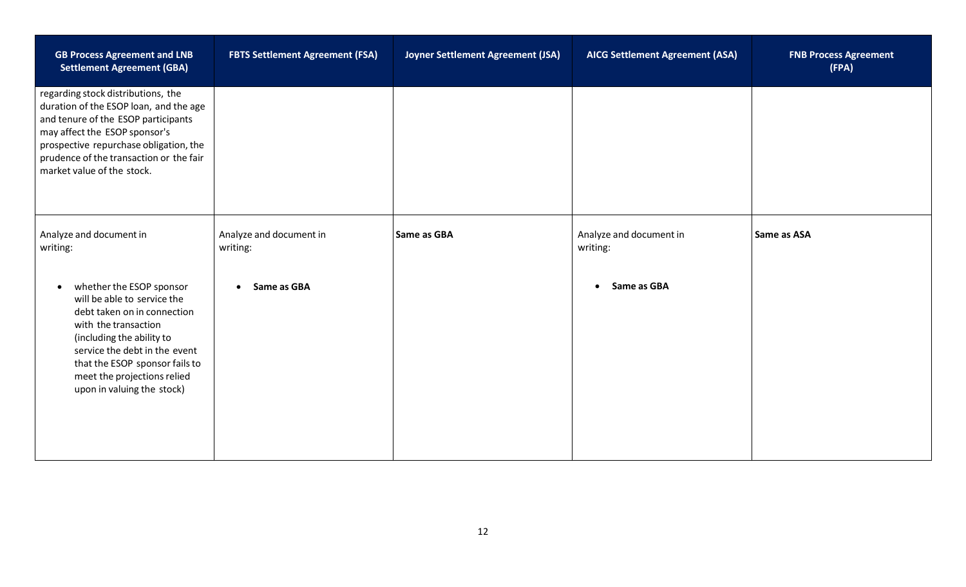| <b>GB Process Agreement and LNB</b><br><b>Settlement Agreement (GBA)</b>                                                                                                                                                                                                                 | <b>FBTS Settlement Agreement (FSA)</b> | Joyner Settlement Agreement (JSA) | <b>AICG Settlement Agreement (ASA)</b> | <b>FNB Process Agreement</b><br>(FPA) |
|------------------------------------------------------------------------------------------------------------------------------------------------------------------------------------------------------------------------------------------------------------------------------------------|----------------------------------------|-----------------------------------|----------------------------------------|---------------------------------------|
| regarding stock distributions, the<br>duration of the ESOP loan, and the age<br>and tenure of the ESOP participants<br>may affect the ESOP sponsor's<br>prospective repurchase obligation, the<br>prudence of the transaction or the fair<br>market value of the stock.                  |                                        |                                   |                                        |                                       |
| Analyze and document in<br>writing:                                                                                                                                                                                                                                                      | Analyze and document in<br>writing:    | Same as GBA                       | Analyze and document in<br>writing:    | Same as ASA                           |
| whether the ESOP sponsor<br>$\bullet$<br>will be able to service the<br>debt taken on in connection<br>with the transaction<br>(including the ability to<br>service the debt in the event<br>that the ESOP sponsor fails to<br>meet the projections relied<br>upon in valuing the stock) | • Same as GBA                          |                                   | Same as GBA<br>$\bullet$               |                                       |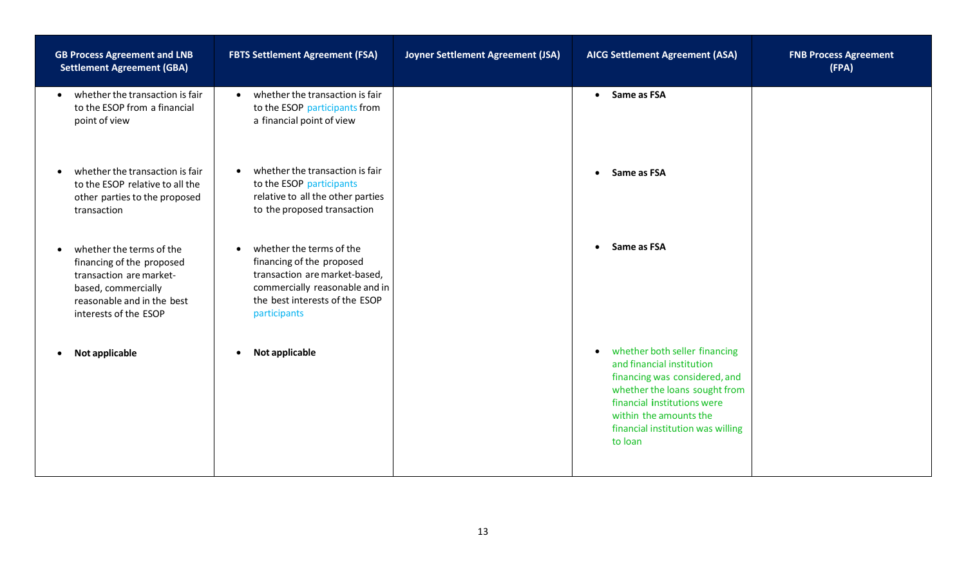| <b>GB Process Agreement and LNB</b><br><b>Settlement Agreement (GBA)</b>                                                                                                    | <b>FBTS Settlement Agreement (FSA)</b>                                                                                                                                                  | Joyner Settlement Agreement (JSA) | <b>AICG Settlement Agreement (ASA)</b>                                                                                                                                                                                                             | <b>FNB Process Agreement</b><br>(FPA) |
|-----------------------------------------------------------------------------------------------------------------------------------------------------------------------------|-----------------------------------------------------------------------------------------------------------------------------------------------------------------------------------------|-----------------------------------|----------------------------------------------------------------------------------------------------------------------------------------------------------------------------------------------------------------------------------------------------|---------------------------------------|
| whether the transaction is fair<br>$\bullet$<br>to the ESOP from a financial<br>point of view                                                                               | whether the transaction is fair<br>$\bullet$<br>to the ESOP participants from<br>a financial point of view                                                                              |                                   | • Same as FSA                                                                                                                                                                                                                                      |                                       |
| whether the transaction is fair<br>$\bullet$<br>to the ESOP relative to all the<br>other parties to the proposed<br>transaction                                             | whether the transaction is fair<br>$\bullet$<br>to the ESOP participants<br>relative to all the other parties<br>to the proposed transaction                                            |                                   | Same as FSA<br>$\bullet$                                                                                                                                                                                                                           |                                       |
| whether the terms of the<br>$\bullet$<br>financing of the proposed<br>transaction are market-<br>based, commercially<br>reasonable and in the best<br>interests of the ESOP | whether the terms of the<br>$\bullet$<br>financing of the proposed<br>transaction are market-based,<br>commercially reasonable and in<br>the best interests of the ESOP<br>participants |                                   | Same as FSA<br>$\bullet$                                                                                                                                                                                                                           |                                       |
| Not applicable<br>$\bullet$                                                                                                                                                 | Not applicable<br>$\bullet$                                                                                                                                                             |                                   | whether both seller financing<br>$\bullet$<br>and financial institution<br>financing was considered, and<br>whether the loans sought from<br>financial institutions were<br>within the amounts the<br>financial institution was willing<br>to loan |                                       |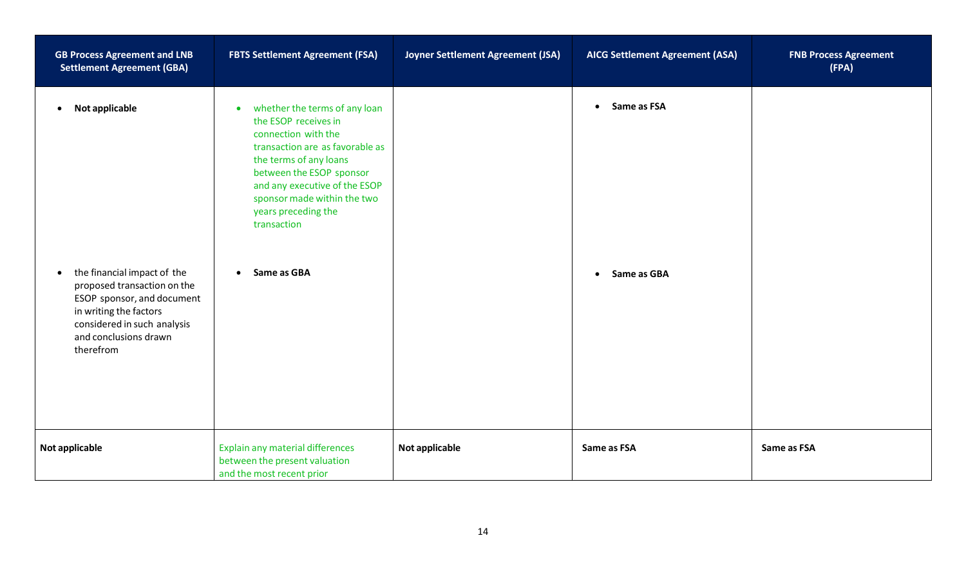| <b>GB Process Agreement and LNB</b><br><b>Settlement Agreement (GBA)</b>                                                                                                                             | <b>FBTS Settlement Agreement (FSA)</b>                                                                                                                                                                                                                                                   | Joyner Settlement Agreement (JSA) | <b>AICG Settlement Agreement (ASA)</b> | <b>FNB Process Agreement</b><br>(FPA) |
|------------------------------------------------------------------------------------------------------------------------------------------------------------------------------------------------------|------------------------------------------------------------------------------------------------------------------------------------------------------------------------------------------------------------------------------------------------------------------------------------------|-----------------------------------|----------------------------------------|---------------------------------------|
| Not applicable<br>$\bullet$                                                                                                                                                                          | whether the terms of any loan<br>$\bullet$<br>the ESOP receives in<br>connection with the<br>transaction are as favorable as<br>the terms of any loans<br>between the ESOP sponsor<br>and any executive of the ESOP<br>sponsor made within the two<br>years preceding the<br>transaction |                                   | Same as FSA<br>$\bullet$               |                                       |
| the financial impact of the<br>$\bullet$<br>proposed transaction on the<br>ESOP sponsor, and document<br>in writing the factors<br>considered in such analysis<br>and conclusions drawn<br>therefrom | Same as GBA<br>$\bullet$                                                                                                                                                                                                                                                                 |                                   | Same as GBA<br>$\bullet$               |                                       |
| Not applicable                                                                                                                                                                                       | Explain any material differences<br>between the present valuation<br>and the most recent prior                                                                                                                                                                                           | Not applicable                    | Same as FSA                            | Same as FSA                           |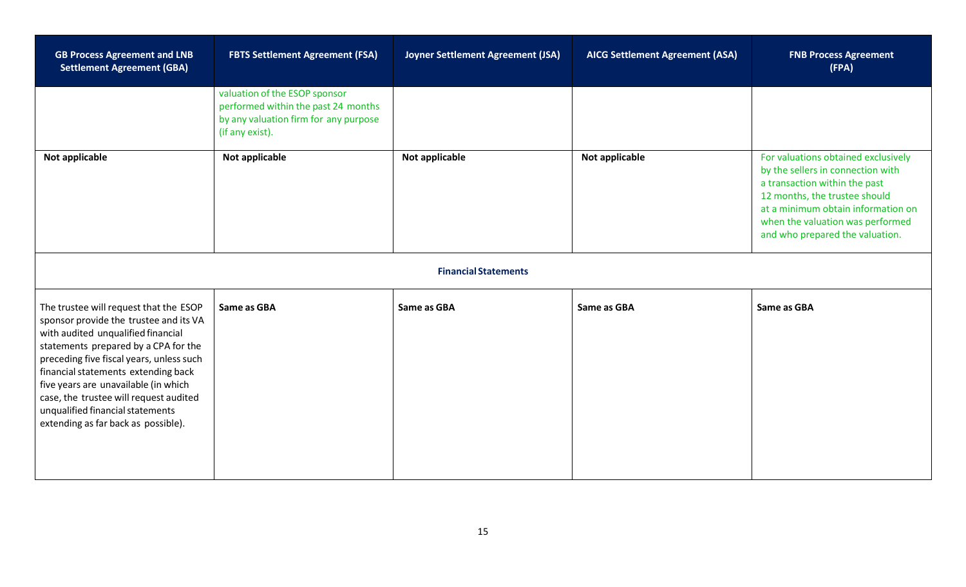| <b>GB Process Agreement and LNB</b><br><b>Settlement Agreement (GBA)</b>                                                                                                                                                                                                                                                                                                                                       | <b>FBTS Settlement Agreement (FSA)</b>                                                                                           | Joyner Settlement Agreement (JSA) | <b>AICG Settlement Agreement (ASA)</b> | <b>FNB Process Agreement</b><br>(FPA)                                                                                                                                                                                                                   |
|----------------------------------------------------------------------------------------------------------------------------------------------------------------------------------------------------------------------------------------------------------------------------------------------------------------------------------------------------------------------------------------------------------------|----------------------------------------------------------------------------------------------------------------------------------|-----------------------------------|----------------------------------------|---------------------------------------------------------------------------------------------------------------------------------------------------------------------------------------------------------------------------------------------------------|
|                                                                                                                                                                                                                                                                                                                                                                                                                | valuation of the ESOP sponsor<br>performed within the past 24 months<br>by any valuation firm for any purpose<br>(if any exist). |                                   |                                        |                                                                                                                                                                                                                                                         |
| Not applicable                                                                                                                                                                                                                                                                                                                                                                                                 | Not applicable                                                                                                                   | Not applicable                    | Not applicable                         | For valuations obtained exclusively<br>by the sellers in connection with<br>a transaction within the past<br>12 months, the trustee should<br>at a minimum obtain information on<br>when the valuation was performed<br>and who prepared the valuation. |
|                                                                                                                                                                                                                                                                                                                                                                                                                |                                                                                                                                  | <b>Financial Statements</b>       |                                        |                                                                                                                                                                                                                                                         |
| The trustee will request that the ESOP<br>sponsor provide the trustee and its VA<br>with audited unqualified financial<br>statements prepared by a CPA for the<br>preceding five fiscal years, unless such<br>financial statements extending back<br>five years are unavailable (in which<br>case, the trustee will request audited<br>unqualified financial statements<br>extending as far back as possible). | Same as GBA                                                                                                                      | Same as GBA                       | Same as GBA                            | Same as GBA                                                                                                                                                                                                                                             |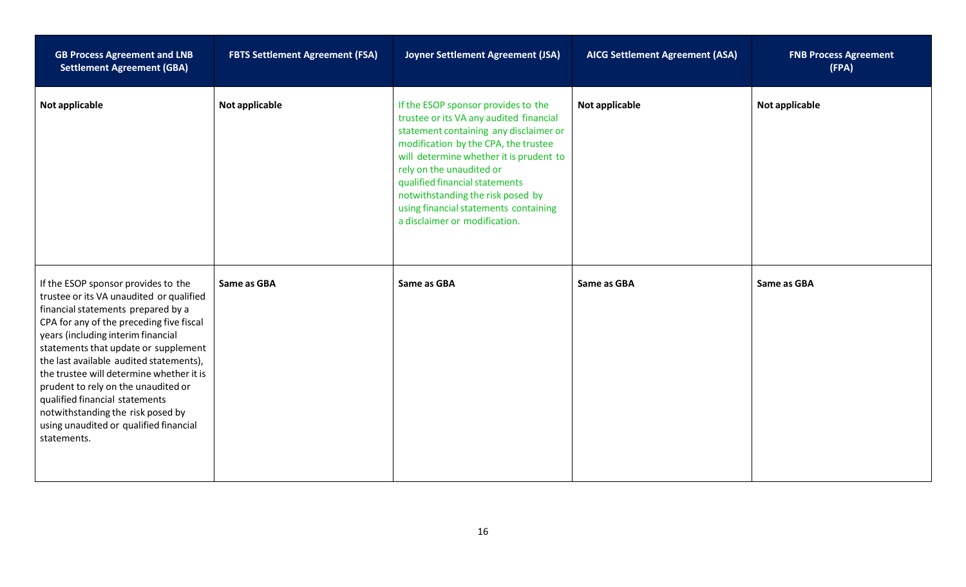| <b>GB Process Agreement and LNB</b><br><b>Settlement Agreement (GBA)</b>                                                                                                                                                                                                                                                                                                                                                                                                                                      | <b>FBTS Settlement Agreement (FSA)</b> | Joyner Settlement Agreement (JSA)                                                                                                                                                                                                                                                                                                                                                        | <b>AICG Settlement Agreement (ASA)</b> | <b>FNB Process Agreement</b><br>(FPA) |
|---------------------------------------------------------------------------------------------------------------------------------------------------------------------------------------------------------------------------------------------------------------------------------------------------------------------------------------------------------------------------------------------------------------------------------------------------------------------------------------------------------------|----------------------------------------|------------------------------------------------------------------------------------------------------------------------------------------------------------------------------------------------------------------------------------------------------------------------------------------------------------------------------------------------------------------------------------------|----------------------------------------|---------------------------------------|
| Not applicable                                                                                                                                                                                                                                                                                                                                                                                                                                                                                                | <b>Not applicable</b>                  | If the ESOP sponsor provides to the<br>trustee or its VA any audited financial<br>statement containing any disclaimer or<br>modification by the CPA, the trustee<br>will determine whether it is prudent to<br>rely on the unaudited or<br>qualified financial statements<br>notwithstanding the risk posed by<br>using financial statements containing<br>a disclaimer or modification. | Not applicable                         | Not applicable                        |
| If the ESOP sponsor provides to the<br>trustee or its VA unaudited or qualified<br>financial statements prepared by a<br>CPA for any of the preceding five fiscal<br>years (including interim financial<br>statements that update or supplement<br>the last available audited statements),<br>the trustee will determine whether it is<br>prudent to rely on the unaudited or<br>qualified financial statements<br>notwithstanding the risk posed by<br>using unaudited or qualified financial<br>statements. | Same as GBA                            | Same as GBA                                                                                                                                                                                                                                                                                                                                                                              | Same as GBA                            | Same as GBA                           |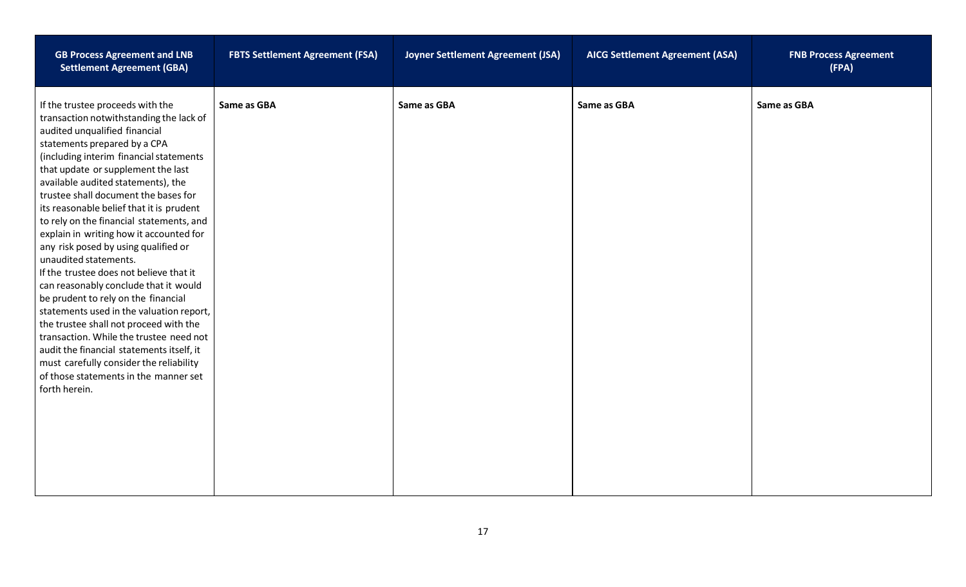| <b>GB Process Agreement and LNB</b><br><b>Settlement Agreement (GBA)</b>                                                                                                                                                                                                                                                                                                                                                                                                                                                                                                                                                                                                                                                                                                                                                                                                                                                      | <b>FBTS Settlement Agreement (FSA)</b> | Joyner Settlement Agreement (JSA) | <b>AICG Settlement Agreement (ASA)</b> | <b>FNB Process Agreement</b><br>(FPA) |
|-------------------------------------------------------------------------------------------------------------------------------------------------------------------------------------------------------------------------------------------------------------------------------------------------------------------------------------------------------------------------------------------------------------------------------------------------------------------------------------------------------------------------------------------------------------------------------------------------------------------------------------------------------------------------------------------------------------------------------------------------------------------------------------------------------------------------------------------------------------------------------------------------------------------------------|----------------------------------------|-----------------------------------|----------------------------------------|---------------------------------------|
| If the trustee proceeds with the<br>transaction notwithstanding the lack of<br>audited unqualified financial<br>statements prepared by a CPA<br>(including interim financial statements<br>that update or supplement the last<br>available audited statements), the<br>trustee shall document the bases for<br>its reasonable belief that it is prudent<br>to rely on the financial statements, and<br>explain in writing how it accounted for<br>any risk posed by using qualified or<br>unaudited statements.<br>If the trustee does not believe that it<br>can reasonably conclude that it would<br>be prudent to rely on the financial<br>statements used in the valuation report,<br>the trustee shall not proceed with the<br>transaction. While the trustee need not<br>audit the financial statements itself, it<br>must carefully consider the reliability<br>of those statements in the manner set<br>forth herein. | Same as GBA                            | Same as GBA                       | Same as GBA                            | Same as GBA                           |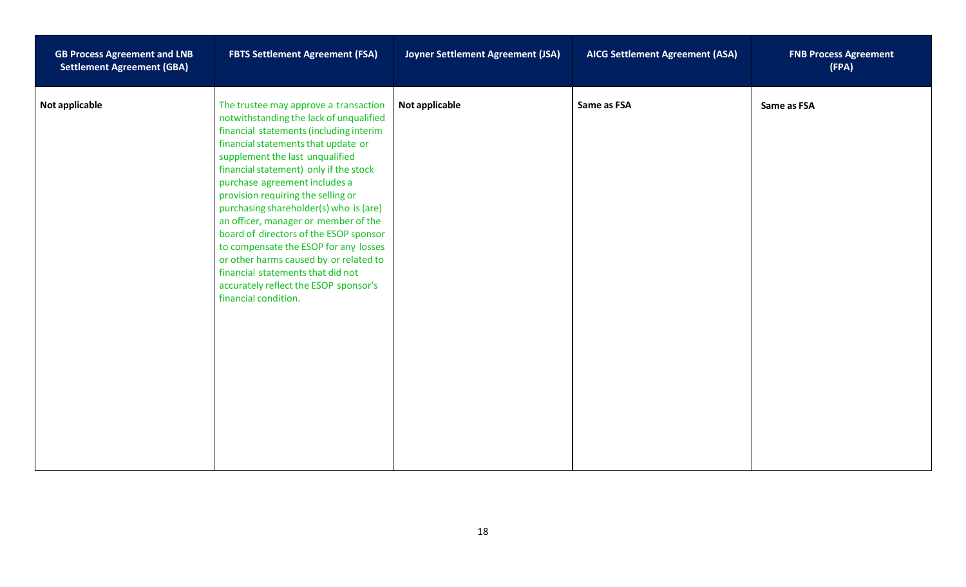| <b>GB Process Agreement and LNB</b><br><b>Settlement Agreement (GBA)</b> | <b>FBTS Settlement Agreement (FSA)</b>                                                                                                                                                                                                                                                                                                                                                                                                                                                                                                                                                                                                      | Joyner Settlement Agreement (JSA) | <b>AICG Settlement Agreement (ASA)</b> | <b>FNB Process Agreement</b><br>(FPA) |
|--------------------------------------------------------------------------|---------------------------------------------------------------------------------------------------------------------------------------------------------------------------------------------------------------------------------------------------------------------------------------------------------------------------------------------------------------------------------------------------------------------------------------------------------------------------------------------------------------------------------------------------------------------------------------------------------------------------------------------|-----------------------------------|----------------------------------------|---------------------------------------|
| Not applicable                                                           | The trustee may approve a transaction<br>notwithstanding the lack of unqualified<br>financial statements (including interim<br>financial statements that update or<br>supplement the last unqualified<br>financial statement) only if the stock<br>purchase agreement includes a<br>provision requiring the selling or<br>purchasing shareholder(s) who is (are)<br>an officer, manager or member of the<br>board of directors of the ESOP sponsor<br>to compensate the ESOP for any losses<br>or other harms caused by or related to<br>financial statements that did not<br>accurately reflect the ESOP sponsor's<br>financial condition. | Not applicable                    | Same as FSA                            | Same as FSA                           |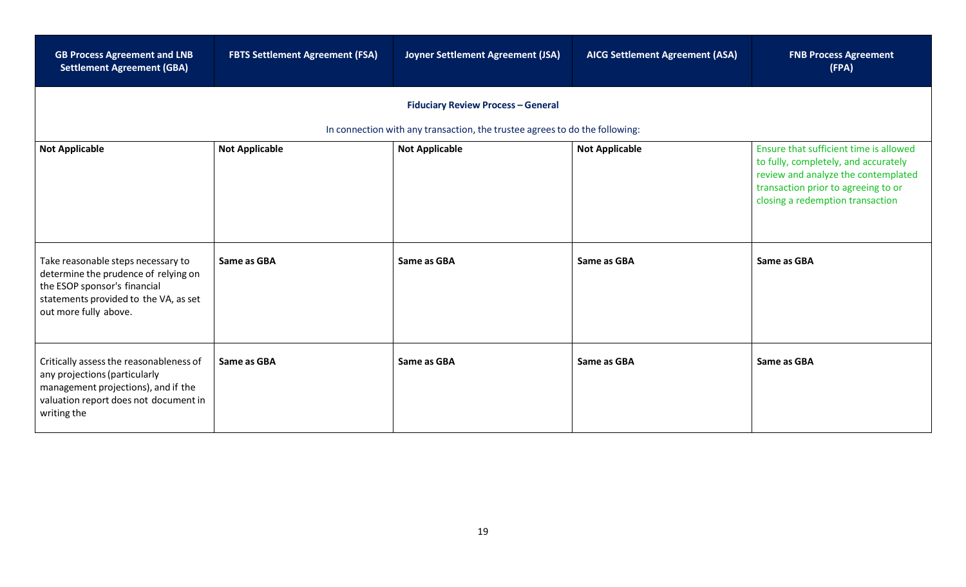| <b>GB Process Agreement and LNB</b><br><b>Settlement Agreement (GBA)</b>                                                                                                     | <b>FBTS Settlement Agreement (FSA)</b> | Joyner Settlement Agreement (JSA)                                                                    | <b>AICG Settlement Agreement (ASA)</b> | <b>FNB Process Agreement</b><br>(FPA)                                                                          |
|------------------------------------------------------------------------------------------------------------------------------------------------------------------------------|----------------------------------------|------------------------------------------------------------------------------------------------------|----------------------------------------|----------------------------------------------------------------------------------------------------------------|
|                                                                                                                                                                              |                                        | <b>Fiduciary Review Process - General</b>                                                            |                                        |                                                                                                                |
| <b>Not Applicable</b>                                                                                                                                                        | <b>Not Applicable</b>                  | In connection with any transaction, the trustee agrees to do the following:<br><b>Not Applicable</b> | <b>Not Applicable</b>                  | Ensure that sufficient time is allowed<br>to fully, completely, and accurately                                 |
|                                                                                                                                                                              |                                        |                                                                                                      |                                        | review and analyze the contemplated<br>transaction prior to agreeing to or<br>closing a redemption transaction |
| Take reasonable steps necessary to<br>determine the prudence of relying on<br>the ESOP sponsor's financial<br>statements provided to the VA, as set<br>out more fully above. | Same as GBA                            | Same as GBA                                                                                          | Same as GBA                            | Same as GBA                                                                                                    |
| Critically assess the reasonableness of<br>any projections (particularly<br>management projections), and if the<br>valuation report does not document in<br>writing the      | Same as GBA                            | Same as GBA                                                                                          | Same as GBA                            | Same as GBA                                                                                                    |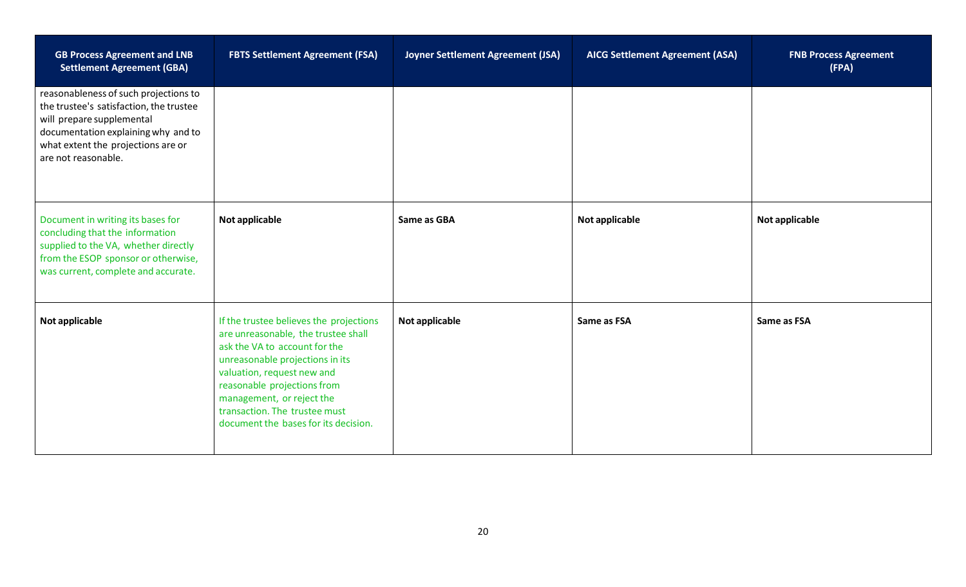| <b>GB Process Agreement and LNB</b><br><b>Settlement Agreement (GBA)</b>                                                                                                                                          | <b>FBTS Settlement Agreement (FSA)</b>                                                                                                                                                                                                                                                                                | Joyner Settlement Agreement (JSA) | <b>AICG Settlement Agreement (ASA)</b> | <b>FNB Process Agreement</b><br>(FPA) |
|-------------------------------------------------------------------------------------------------------------------------------------------------------------------------------------------------------------------|-----------------------------------------------------------------------------------------------------------------------------------------------------------------------------------------------------------------------------------------------------------------------------------------------------------------------|-----------------------------------|----------------------------------------|---------------------------------------|
| reasonableness of such projections to<br>the trustee's satisfaction, the trustee<br>will prepare supplemental<br>documentation explaining why and to<br>what extent the projections are or<br>are not reasonable. |                                                                                                                                                                                                                                                                                                                       |                                   |                                        |                                       |
| Document in writing its bases for<br>concluding that the information<br>supplied to the VA, whether directly<br>from the ESOP sponsor or otherwise,<br>was current, complete and accurate.                        | Not applicable                                                                                                                                                                                                                                                                                                        | Same as GBA                       | Not applicable                         | Not applicable                        |
| Not applicable                                                                                                                                                                                                    | If the trustee believes the projections<br>are unreasonable, the trustee shall<br>ask the VA to account for the<br>unreasonable projections in its<br>valuation, request new and<br>reasonable projections from<br>management, or reject the<br>transaction. The trustee must<br>document the bases for its decision. | Not applicable                    | Same as FSA                            | Same as FSA                           |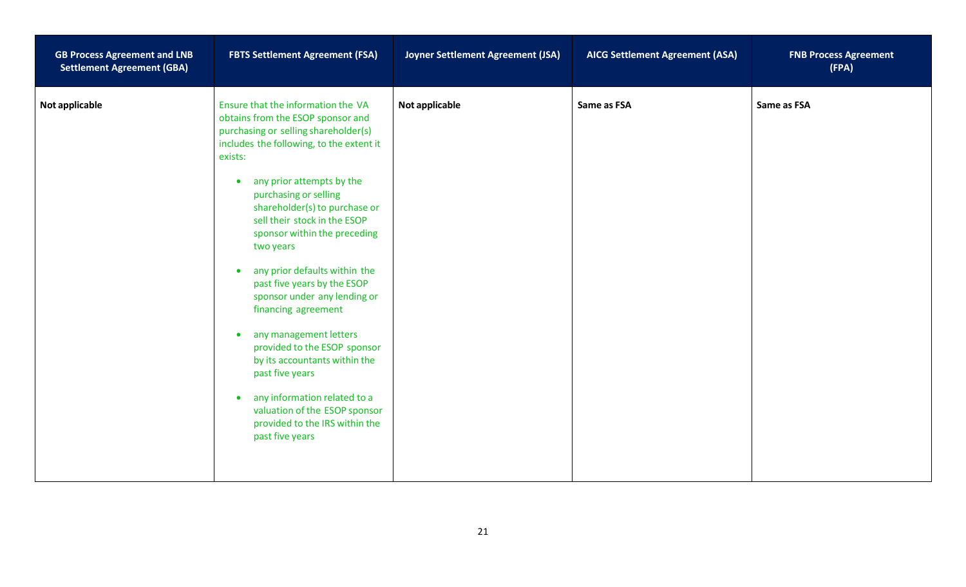| <b>GB Process Agreement and LNB</b><br><b>Settlement Agreement (GBA)</b> | <b>FBTS Settlement Agreement (FSA)</b>                                                                                                                                                                                                                                                                                                                                                                                                                                                                                                                                                                                                                                                                                                                    | Joyner Settlement Agreement (JSA) | <b>AICG Settlement Agreement (ASA)</b> | <b>FNB Process Agreement</b><br>(FPA) |
|--------------------------------------------------------------------------|-----------------------------------------------------------------------------------------------------------------------------------------------------------------------------------------------------------------------------------------------------------------------------------------------------------------------------------------------------------------------------------------------------------------------------------------------------------------------------------------------------------------------------------------------------------------------------------------------------------------------------------------------------------------------------------------------------------------------------------------------------------|-----------------------------------|----------------------------------------|---------------------------------------|
| Not applicable                                                           | Ensure that the information the VA<br>obtains from the ESOP sponsor and<br>purchasing or selling shareholder(s)<br>includes the following, to the extent it<br>exists:<br>any prior attempts by the<br>$\bullet$<br>purchasing or selling<br>shareholder(s) to purchase or<br>sell their stock in the ESOP<br>sponsor within the preceding<br>two years<br>any prior defaults within the<br>$\bullet$<br>past five years by the ESOP<br>sponsor under any lending or<br>financing agreement<br>any management letters<br>$\bullet$<br>provided to the ESOP sponsor<br>by its accountants within the<br>past five years<br>any information related to a<br>$\bullet$<br>valuation of the ESOP sponsor<br>provided to the IRS within the<br>past five years | Not applicable                    | Same as FSA                            | Same as FSA                           |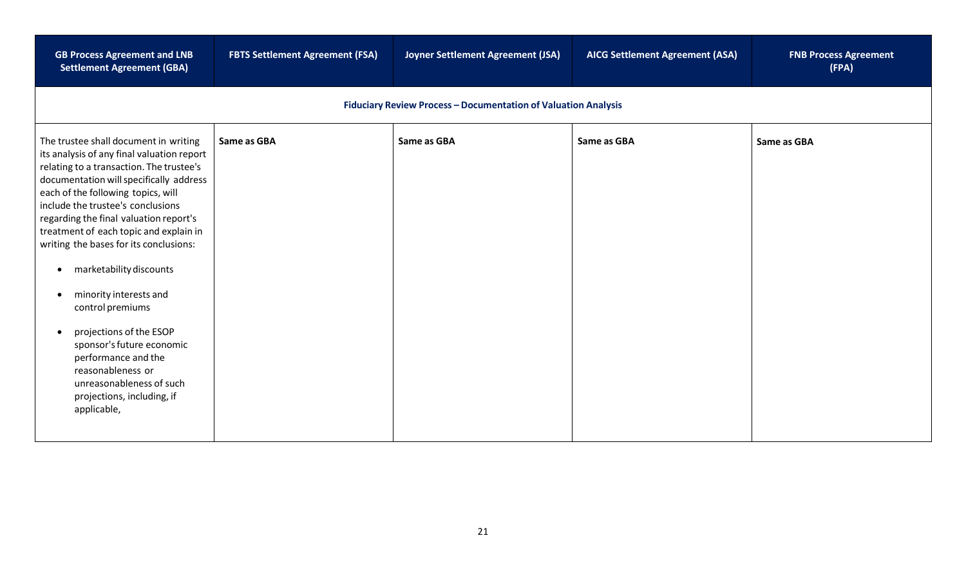| <b>GB Process Agreement and LNB</b><br><b>Settlement Agreement (GBA)</b>                                                                                                                                                                                                                                                                                                                                                                                                                                                                                                                                                                               | <b>FBTS Settlement Agreement (FSA)</b> | Joyner Settlement Agreement (JSA)                                     | <b>AICG Settlement Agreement (ASA)</b> | <b>FNB Process Agreement</b><br>(FPA) |
|--------------------------------------------------------------------------------------------------------------------------------------------------------------------------------------------------------------------------------------------------------------------------------------------------------------------------------------------------------------------------------------------------------------------------------------------------------------------------------------------------------------------------------------------------------------------------------------------------------------------------------------------------------|----------------------------------------|-----------------------------------------------------------------------|----------------------------------------|---------------------------------------|
|                                                                                                                                                                                                                                                                                                                                                                                                                                                                                                                                                                                                                                                        |                                        | <b>Fiduciary Review Process - Documentation of Valuation Analysis</b> |                                        |                                       |
| The trustee shall document in writing<br>its analysis of any final valuation report<br>relating to a transaction. The trustee's<br>documentation will specifically address<br>each of the following topics, will<br>include the trustee's conclusions<br>regarding the final valuation report's<br>treatment of each topic and explain in<br>writing the bases for its conclusions:<br>marketability discounts<br>$\bullet$<br>minority interests and<br>control premiums<br>projections of the ESOP<br>sponsor's future economic<br>performance and the<br>reasonableness or<br>unreasonableness of such<br>projections, including, if<br>applicable, | Same as GBA                            | Same as GBA                                                           | Same as GBA                            | Same as GBA                           |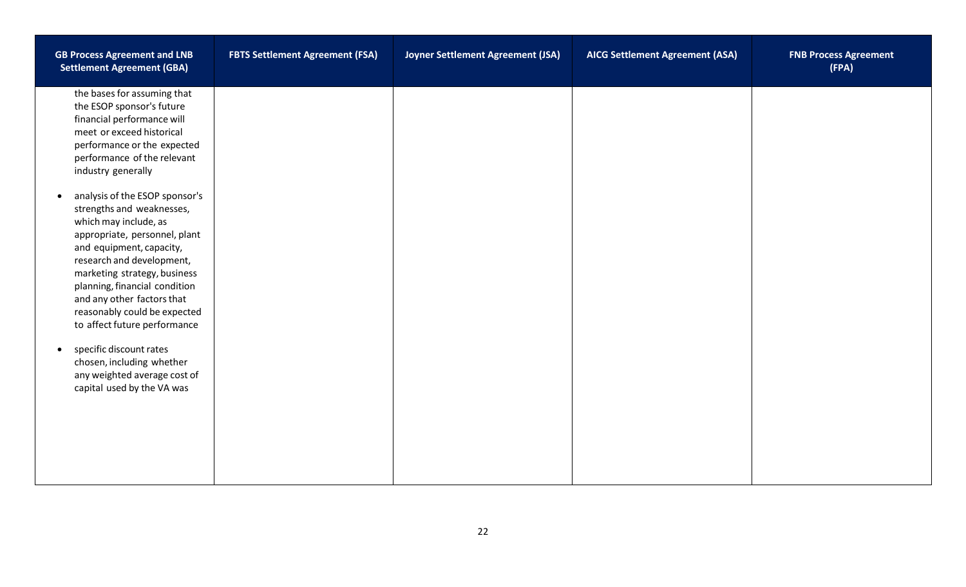| <b>GB Process Agreement and LNB</b><br><b>Settlement Agreement (GBA)</b>                                                                                                                                                                                                                                                                                   | <b>FBTS Settlement Agreement (FSA)</b> | Joyner Settlement Agreement (JSA) | <b>AICG Settlement Agreement (ASA)</b> | <b>FNB Process Agreement</b><br>(FPA) |
|------------------------------------------------------------------------------------------------------------------------------------------------------------------------------------------------------------------------------------------------------------------------------------------------------------------------------------------------------------|----------------------------------------|-----------------------------------|----------------------------------------|---------------------------------------|
| the bases for assuming that<br>the ESOP sponsor's future<br>financial performance will<br>meet or exceed historical<br>performance or the expected<br>performance of the relevant<br>industry generally                                                                                                                                                    |                                        |                                   |                                        |                                       |
| analysis of the ESOP sponsor's<br>$\bullet$<br>strengths and weaknesses,<br>which may include, as<br>appropriate, personnel, plant<br>and equipment, capacity,<br>research and development,<br>marketing strategy, business<br>planning, financial condition<br>and any other factors that<br>reasonably could be expected<br>to affect future performance |                                        |                                   |                                        |                                       |
| specific discount rates<br>$\bullet$<br>chosen, including whether<br>any weighted average cost of<br>capital used by the VA was                                                                                                                                                                                                                            |                                        |                                   |                                        |                                       |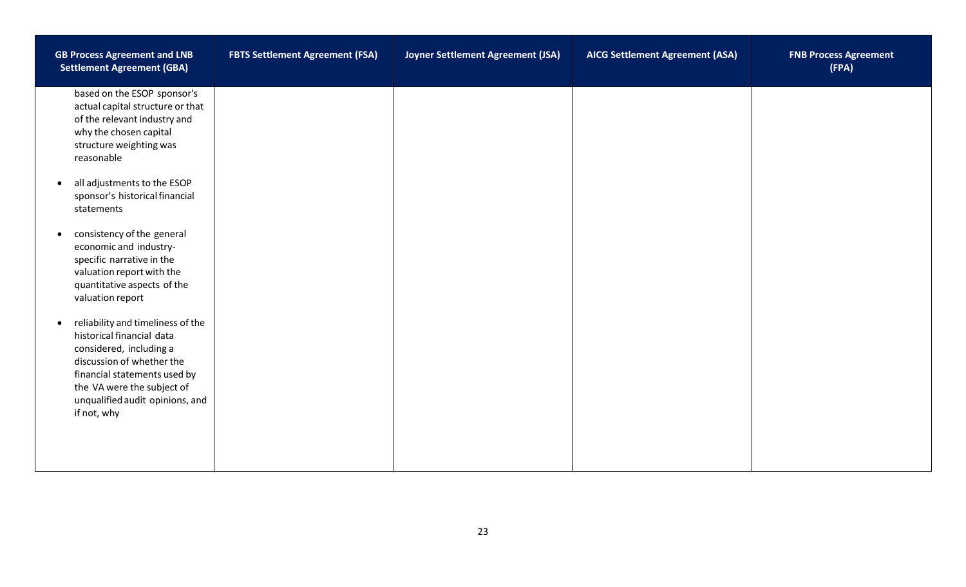| <b>GB Process Agreement and LNB</b><br><b>Settlement Agreement (GBA)</b>                                                                                                                                                                            | <b>FBTS Settlement Agreement (FSA)</b> | Joyner Settlement Agreement (JSA) | <b>AICG Settlement Agreement (ASA)</b> | <b>FNB Process Agreement</b><br>(FPA) |
|-----------------------------------------------------------------------------------------------------------------------------------------------------------------------------------------------------------------------------------------------------|----------------------------------------|-----------------------------------|----------------------------------------|---------------------------------------|
| based on the ESOP sponsor's<br>actual capital structure or that<br>of the relevant industry and<br>why the chosen capital<br>structure weighting was<br>reasonable                                                                                  |                                        |                                   |                                        |                                       |
| all adjustments to the ESOP<br>$\bullet$<br>sponsor's historical financial<br>statements                                                                                                                                                            |                                        |                                   |                                        |                                       |
| consistency of the general<br>$\bullet$<br>economic and industry-<br>specific narrative in the<br>valuation report with the<br>quantitative aspects of the<br>valuation report                                                                      |                                        |                                   |                                        |                                       |
| reliability and timeliness of the<br>$\bullet$<br>historical financial data<br>considered, including a<br>discussion of whether the<br>financial statements used by<br>the VA were the subject of<br>unqualified audit opinions, and<br>if not, why |                                        |                                   |                                        |                                       |
|                                                                                                                                                                                                                                                     |                                        |                                   |                                        |                                       |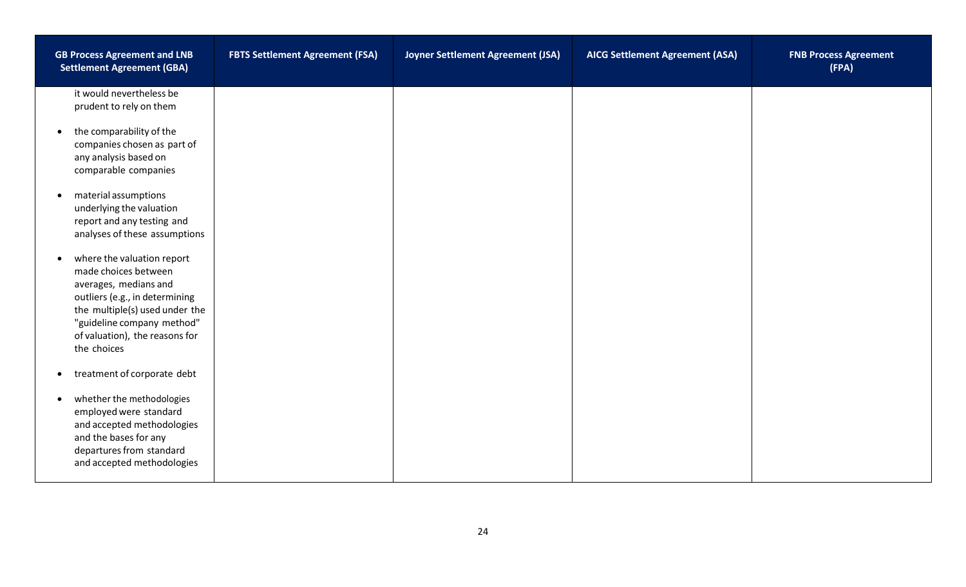| <b>GB Process Agreement and LNB</b><br><b>Settlement Agreement (GBA)</b>                                                                                                                                                                    | <b>FBTS Settlement Agreement (FSA)</b> | Joyner Settlement Agreement (JSA) | <b>AICG Settlement Agreement (ASA)</b> | <b>FNB Process Agreement</b><br>(FPA) |
|---------------------------------------------------------------------------------------------------------------------------------------------------------------------------------------------------------------------------------------------|----------------------------------------|-----------------------------------|----------------------------------------|---------------------------------------|
| it would nevertheless be<br>prudent to rely on them                                                                                                                                                                                         |                                        |                                   |                                        |                                       |
| the comparability of the<br>$\bullet$<br>companies chosen as part of<br>any analysis based on<br>comparable companies                                                                                                                       |                                        |                                   |                                        |                                       |
| material assumptions<br>$\bullet$<br>underlying the valuation<br>report and any testing and<br>analyses of these assumptions                                                                                                                |                                        |                                   |                                        |                                       |
| where the valuation report<br>$\bullet$<br>made choices between<br>averages, medians and<br>outliers (e.g., in determining<br>the multiple(s) used under the<br>"guideline company method"<br>of valuation), the reasons for<br>the choices |                                        |                                   |                                        |                                       |
| treatment of corporate debt<br>$\bullet$                                                                                                                                                                                                    |                                        |                                   |                                        |                                       |
| whether the methodologies<br>$\bullet$<br>employed were standard<br>and accepted methodologies<br>and the bases for any<br>departures from standard<br>and accepted methodologies                                                           |                                        |                                   |                                        |                                       |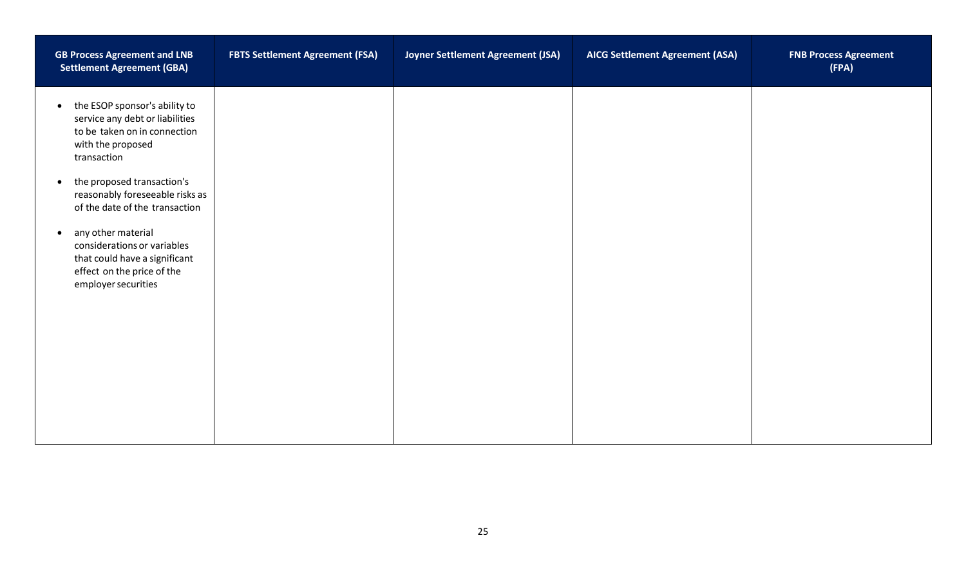| <b>GB Process Agreement and LNB</b><br><b>Settlement Agreement (GBA)</b>                                                                             | <b>FBTS Settlement Agreement (FSA)</b> | Joyner Settlement Agreement (JSA) | <b>AICG Settlement Agreement (ASA)</b> | <b>FNB Process Agreement</b><br>(FPA) |
|------------------------------------------------------------------------------------------------------------------------------------------------------|----------------------------------------|-----------------------------------|----------------------------------------|---------------------------------------|
| the ESOP sponsor's ability to<br>$\bullet$<br>service any debt or liabilities<br>to be taken on in connection<br>with the proposed<br>transaction    |                                        |                                   |                                        |                                       |
| the proposed transaction's<br>$\bullet$<br>reasonably foreseeable risks as<br>of the date of the transaction                                         |                                        |                                   |                                        |                                       |
| any other material<br>$\bullet$<br>considerations or variables<br>that could have a significant<br>effect on the price of the<br>employer securities |                                        |                                   |                                        |                                       |
|                                                                                                                                                      |                                        |                                   |                                        |                                       |
|                                                                                                                                                      |                                        |                                   |                                        |                                       |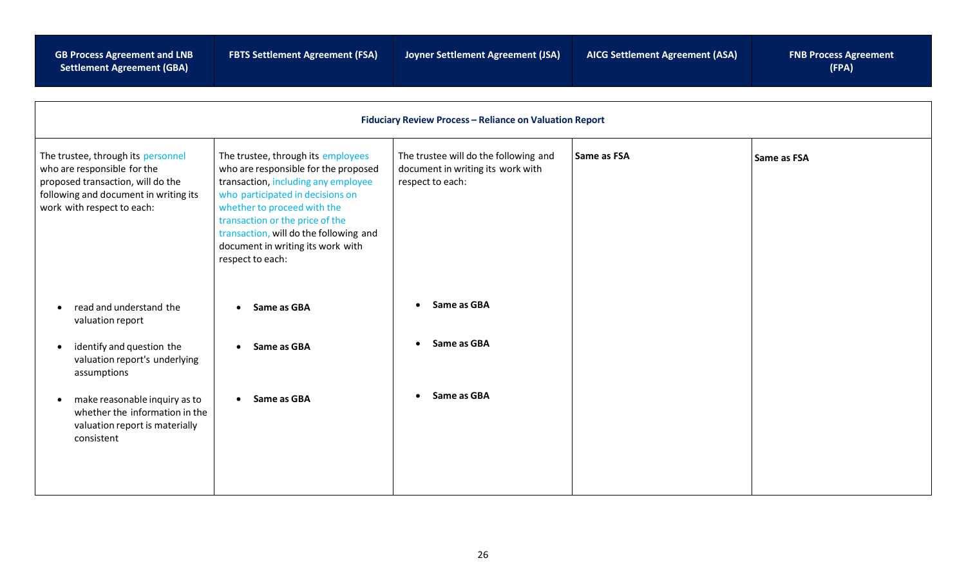**GB Process Agreement and LNB Settlement Agreement (GBA)**

| <b>Fiduciary Review Process - Reliance on Valuation Report</b>                                                                                                                                                                                                        |                                                                                                                                                                                                                                                                                                                            |                                                                                                |             |             |
|-----------------------------------------------------------------------------------------------------------------------------------------------------------------------------------------------------------------------------------------------------------------------|----------------------------------------------------------------------------------------------------------------------------------------------------------------------------------------------------------------------------------------------------------------------------------------------------------------------------|------------------------------------------------------------------------------------------------|-------------|-------------|
| The trustee, through its personnel<br>who are responsible for the<br>proposed transaction, will do the<br>following and document in writing its<br>work with respect to each:                                                                                         | The trustee, through its employees<br>who are responsible for the proposed<br>transaction, including any employee<br>who participated in decisions on<br>whether to proceed with the<br>transaction or the price of the<br>transaction, will do the following and<br>document in writing its work with<br>respect to each: | The trustee will do the following and<br>document in writing its work with<br>respect to each: | Same as FSA | Same as FSA |
| read and understand the<br>valuation report<br>identify and question the<br>$\bullet$<br>valuation report's underlying<br>assumptions<br>make reasonable inquiry as to<br>$\bullet$<br>whether the information in the<br>valuation report is materially<br>consistent | Same as GBA<br>$\bullet$<br>Same as GBA<br>$\bullet$<br>Same as GBA<br>$\bullet$                                                                                                                                                                                                                                           | Same as GBA<br>Same as GBA<br>Same as GBA                                                      |             |             |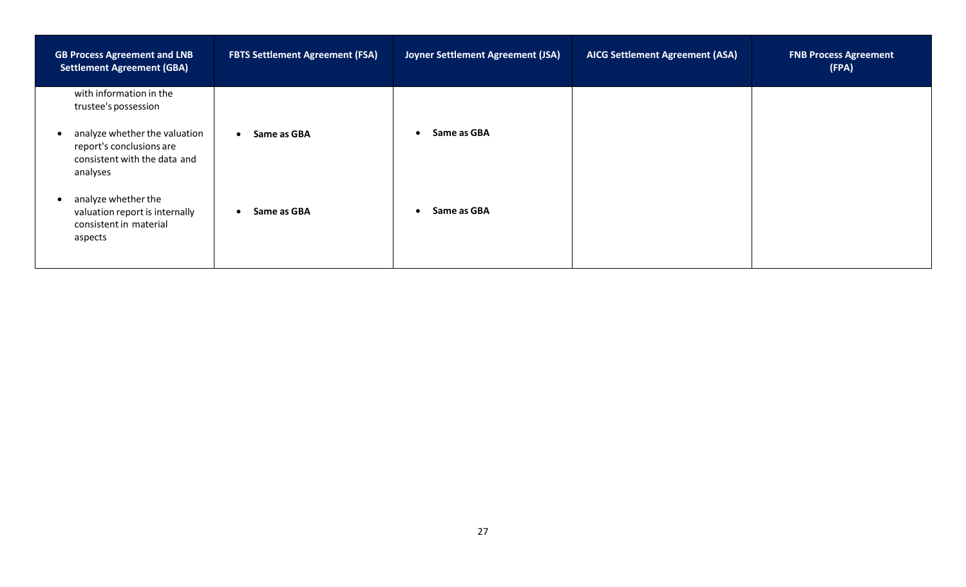| <b>GB Process Agreement and LNB</b><br><b>Settlement Agreement (GBA)</b>                                           | <b>FBTS Settlement Agreement (FSA)</b> | Joyner Settlement Agreement (JSA) | <b>AICG Settlement Agreement (ASA)</b> | <b>FNB Process Agreement</b><br>(FPA) |
|--------------------------------------------------------------------------------------------------------------------|----------------------------------------|-----------------------------------|----------------------------------------|---------------------------------------|
| with information in the<br>trustee's possession                                                                    |                                        |                                   |                                        |                                       |
| analyze whether the valuation<br>$\bullet$<br>report's conclusions are<br>consistent with the data and<br>analyses | Same as GBA                            | Same as GBA                       |                                        |                                       |
| analyze whether the<br>$\bullet$<br>valuation report is internally<br>consistent in material<br>aspects            | Same as GBA                            | Same as GBA                       |                                        |                                       |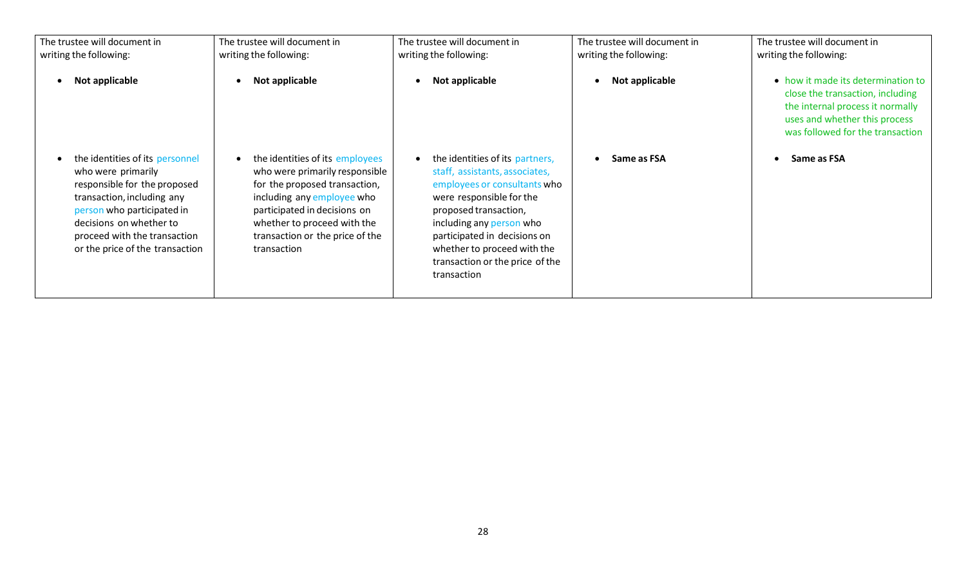| The trustee will document in<br>writing the following:                                                                                                                                                                                          | The trustee will document in<br>writing the following:                                                                                                                                                                                            | The trustee will document in<br>writing the following:                                                                                                                                                                                                                                              | The trustee will document in<br>writing the following: | The trustee will document in<br>writing the following:                                                                                                                          |
|-------------------------------------------------------------------------------------------------------------------------------------------------------------------------------------------------------------------------------------------------|---------------------------------------------------------------------------------------------------------------------------------------------------------------------------------------------------------------------------------------------------|-----------------------------------------------------------------------------------------------------------------------------------------------------------------------------------------------------------------------------------------------------------------------------------------------------|--------------------------------------------------------|---------------------------------------------------------------------------------------------------------------------------------------------------------------------------------|
| Not applicable                                                                                                                                                                                                                                  | Not applicable                                                                                                                                                                                                                                    | Not applicable                                                                                                                                                                                                                                                                                      | Not applicable                                         | • how it made its determination to<br>close the transaction, including<br>the internal process it normally<br>uses and whether this process<br>was followed for the transaction |
| the identities of its personnel<br>who were primarily<br>responsible for the proposed<br>transaction, including any<br>person who participated in<br>decisions on whether to<br>proceed with the transaction<br>or the price of the transaction | the identities of its employees<br>who were primarily responsible<br>for the proposed transaction,<br>including any employee who<br>participated in decisions on<br>whether to proceed with the<br>transaction or the price of the<br>transaction | the identities of its partners,<br>staff, assistants, associates,<br>employees or consultants who<br>were responsible for the<br>proposed transaction,<br>including any person who<br>participated in decisions on<br>whether to proceed with the<br>transaction or the price of the<br>transaction | Same as FSA                                            | Same as FSA                                                                                                                                                                     |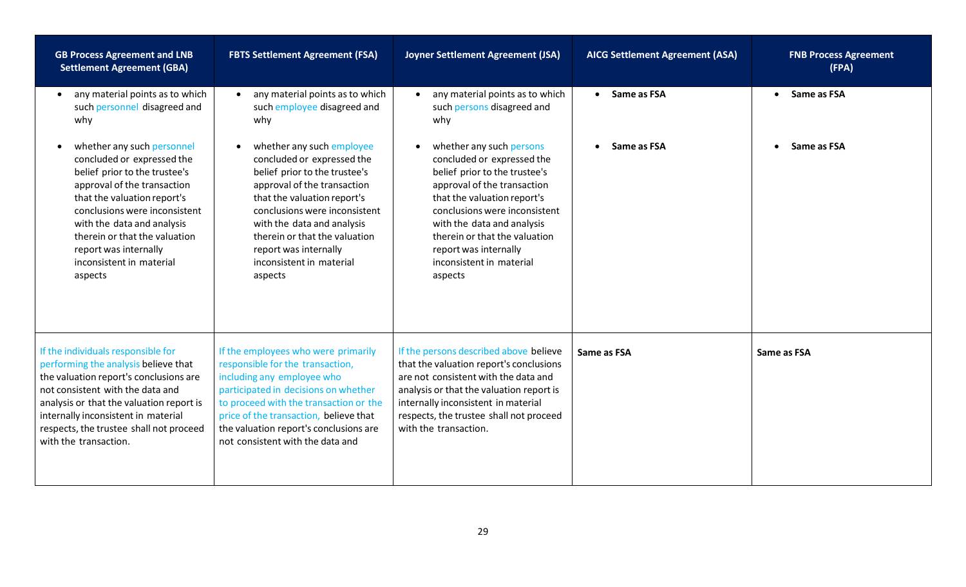| <b>GB Process Agreement and LNB</b><br><b>Settlement Agreement (GBA)</b>                                                                                                                                                                                                                                                | <b>FBTS Settlement Agreement (FSA)</b>                                                                                                                                                                                                                                                                                 | Joyner Settlement Agreement (JSA)                                                                                                                                                                                                                                                                                     | <b>AICG Settlement Agreement (ASA)</b> | <b>FNB Process Agreement</b><br>(FPA) |
|-------------------------------------------------------------------------------------------------------------------------------------------------------------------------------------------------------------------------------------------------------------------------------------------------------------------------|------------------------------------------------------------------------------------------------------------------------------------------------------------------------------------------------------------------------------------------------------------------------------------------------------------------------|-----------------------------------------------------------------------------------------------------------------------------------------------------------------------------------------------------------------------------------------------------------------------------------------------------------------------|----------------------------------------|---------------------------------------|
| any material points as to which<br>such personnel disagreed and<br>why                                                                                                                                                                                                                                                  | any material points as to which<br>such employee disagreed and<br>why                                                                                                                                                                                                                                                  | any material points as to which<br>such persons disagreed and<br>why                                                                                                                                                                                                                                                  | • Same as FSA                          | • Same as FSA                         |
| whether any such personnel<br>concluded or expressed the<br>belief prior to the trustee's<br>approval of the transaction<br>that the valuation report's<br>conclusions were inconsistent<br>with the data and analysis<br>therein or that the valuation<br>report was internally<br>inconsistent in material<br>aspects | whether any such employee<br>concluded or expressed the<br>belief prior to the trustee's<br>approval of the transaction<br>that the valuation report's<br>conclusions were inconsistent<br>with the data and analysis<br>therein or that the valuation<br>report was internally<br>inconsistent in material<br>aspects | whether any such persons<br>concluded or expressed the<br>belief prior to the trustee's<br>approval of the transaction<br>that the valuation report's<br>conclusions were inconsistent<br>with the data and analysis<br>therein or that the valuation<br>report was internally<br>inconsistent in material<br>aspects | Same as FSA                            | Same as FSA                           |
| If the individuals responsible for<br>performing the analysis believe that<br>the valuation report's conclusions are<br>not consistent with the data and<br>analysis or that the valuation report is<br>internally inconsistent in material<br>respects, the trustee shall not proceed<br>with the transaction.         | If the employees who were primarily<br>responsible for the transaction,<br>including any employee who<br>participated in decisions on whether<br>to proceed with the transaction or the<br>price of the transaction, believe that<br>the valuation report's conclusions are<br>not consistent with the data and        | If the persons described above believe<br>that the valuation report's conclusions<br>are not consistent with the data and<br>analysis or that the valuation report is<br>internally inconsistent in material<br>respects, the trustee shall not proceed<br>with the transaction.                                      | Same as FSA                            | Same as FSA                           |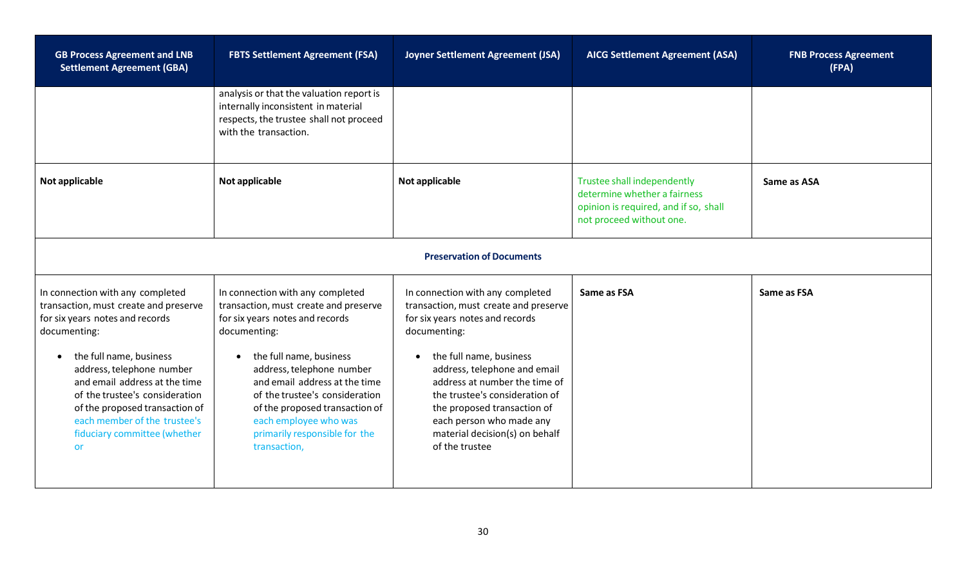| <b>GB Process Agreement and LNB</b><br><b>Settlement Agreement (GBA)</b>                                                                                                                                                                                                                                                                                        | <b>FBTS Settlement Agreement (FSA)</b>                                                                                                                                                                                                                                                                                                                              | Joyner Settlement Agreement (JSA)                                                                                                                                                                                                                                                                                                                                         | <b>AICG Settlement Agreement (ASA)</b>                                                                                           | <b>FNB Process Agreement</b><br>(FPA) |
|-----------------------------------------------------------------------------------------------------------------------------------------------------------------------------------------------------------------------------------------------------------------------------------------------------------------------------------------------------------------|---------------------------------------------------------------------------------------------------------------------------------------------------------------------------------------------------------------------------------------------------------------------------------------------------------------------------------------------------------------------|---------------------------------------------------------------------------------------------------------------------------------------------------------------------------------------------------------------------------------------------------------------------------------------------------------------------------------------------------------------------------|----------------------------------------------------------------------------------------------------------------------------------|---------------------------------------|
|                                                                                                                                                                                                                                                                                                                                                                 | analysis or that the valuation report is<br>internally inconsistent in material<br>respects, the trustee shall not proceed<br>with the transaction.                                                                                                                                                                                                                 |                                                                                                                                                                                                                                                                                                                                                                           |                                                                                                                                  |                                       |
| Not applicable                                                                                                                                                                                                                                                                                                                                                  | Not applicable                                                                                                                                                                                                                                                                                                                                                      | Not applicable                                                                                                                                                                                                                                                                                                                                                            | Trustee shall independently<br>determine whether a fairness<br>opinion is required, and if so, shall<br>not proceed without one. | Same as ASA                           |
|                                                                                                                                                                                                                                                                                                                                                                 |                                                                                                                                                                                                                                                                                                                                                                     | <b>Preservation of Documents</b>                                                                                                                                                                                                                                                                                                                                          |                                                                                                                                  |                                       |
| In connection with any completed<br>transaction, must create and preserve<br>for six years notes and records<br>documenting:<br>the full name, business<br>address, telephone number<br>and email address at the time<br>of the trustee's consideration<br>of the proposed transaction of<br>each member of the trustee's<br>fiduciary committee (whether<br>or | In connection with any completed<br>transaction, must create and preserve<br>for six years notes and records<br>documenting:<br>the full name, business<br>address, telephone number<br>and email address at the time<br>of the trustee's consideration<br>of the proposed transaction of<br>each employee who was<br>primarily responsible for the<br>transaction, | In connection with any completed<br>transaction, must create and preserve<br>for six years notes and records<br>documenting:<br>the full name, business<br>address, telephone and email<br>address at number the time of<br>the trustee's consideration of<br>the proposed transaction of<br>each person who made any<br>material decision(s) on behalf<br>of the trustee | Same as FSA                                                                                                                      | Same as FSA                           |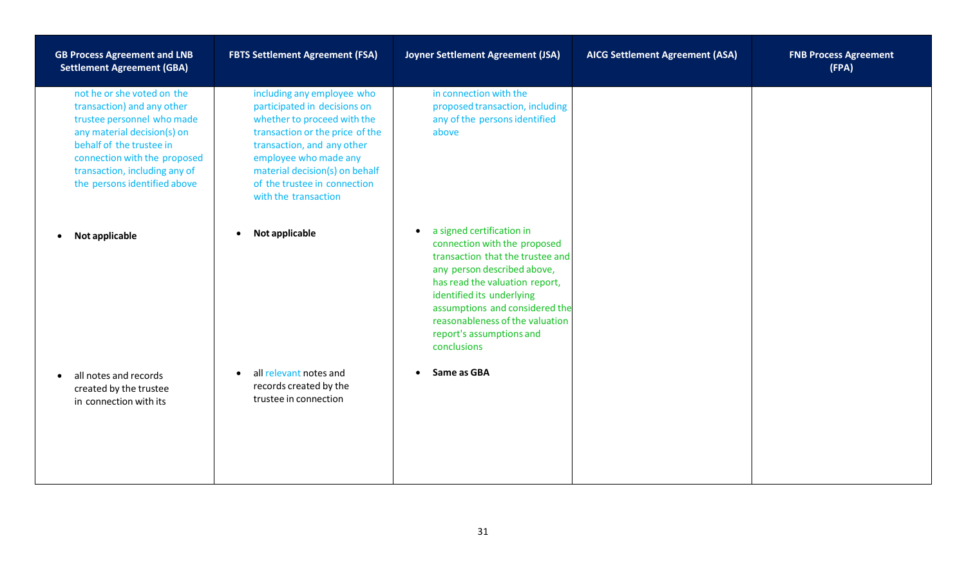| <b>GB Process Agreement and LNB</b><br><b>Settlement Agreement (GBA)</b>                                                                                                                                                                           | <b>FBTS Settlement Agreement (FSA)</b>                                                                                                                                                                                                                                        | Joyner Settlement Agreement (JSA)                                                                                                                                                                                                                                                                                        | <b>AICG Settlement Agreement (ASA)</b> | <b>FNB Process Agreement</b><br>(FPA) |
|----------------------------------------------------------------------------------------------------------------------------------------------------------------------------------------------------------------------------------------------------|-------------------------------------------------------------------------------------------------------------------------------------------------------------------------------------------------------------------------------------------------------------------------------|--------------------------------------------------------------------------------------------------------------------------------------------------------------------------------------------------------------------------------------------------------------------------------------------------------------------------|----------------------------------------|---------------------------------------|
| not he or she voted on the<br>transaction) and any other<br>trustee personnel who made<br>any material decision(s) on<br>behalf of the trustee in<br>connection with the proposed<br>transaction, including any of<br>the persons identified above | including any employee who<br>participated in decisions on<br>whether to proceed with the<br>transaction or the price of the<br>transaction, and any other<br>employee who made any<br>material decision(s) on behalf<br>of the trustee in connection<br>with the transaction | in connection with the<br>proposed transaction, including<br>any of the persons identified<br>above                                                                                                                                                                                                                      |                                        |                                       |
| Not applicable<br>$\bullet$                                                                                                                                                                                                                        | Not applicable<br>$\bullet$                                                                                                                                                                                                                                                   | a signed certification in<br>$\bullet$<br>connection with the proposed<br>transaction that the trustee and<br>any person described above,<br>has read the valuation report,<br>identified its underlying<br>assumptions and considered the<br>reasonableness of the valuation<br>report's assumptions and<br>conclusions |                                        |                                       |
| all notes and records<br>$\bullet$<br>created by the trustee<br>in connection with its                                                                                                                                                             | all relevant notes and<br>$\bullet$<br>records created by the<br>trustee in connection                                                                                                                                                                                        | Same as GBA<br>$\bullet$                                                                                                                                                                                                                                                                                                 |                                        |                                       |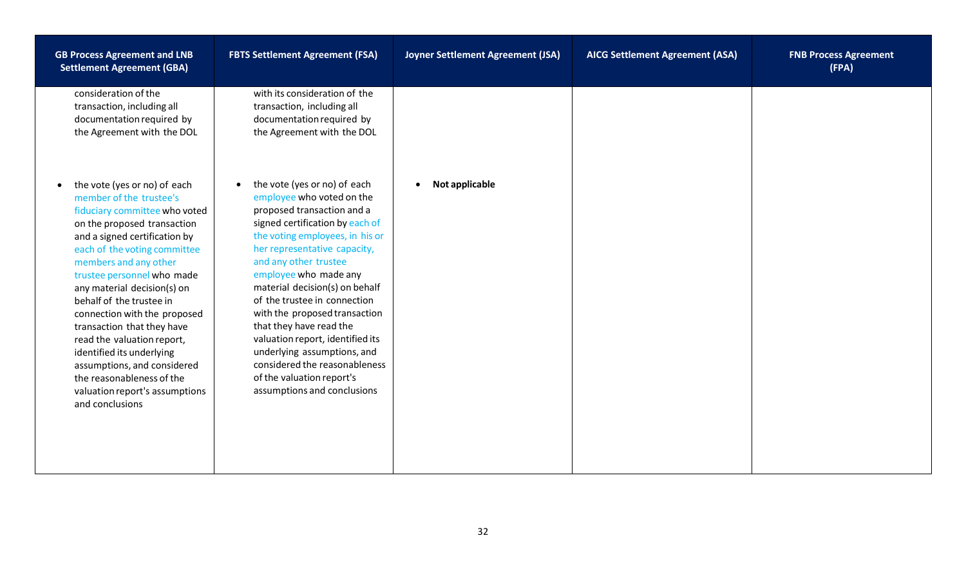| <b>GB Process Agreement and LNB</b><br><b>Settlement Agreement (GBA)</b>                                                                                                                                                                                                                                                                                                                                                                                                                                                                             | <b>FBTS Settlement Agreement (FSA)</b>                                                                                                                                                                                                                                                                                                                                                                                                                                                                                                                     | Joyner Settlement Agreement (JSA) | <b>AICG Settlement Agreement (ASA)</b> | <b>FNB Process Agreement</b><br>(FPA) |
|------------------------------------------------------------------------------------------------------------------------------------------------------------------------------------------------------------------------------------------------------------------------------------------------------------------------------------------------------------------------------------------------------------------------------------------------------------------------------------------------------------------------------------------------------|------------------------------------------------------------------------------------------------------------------------------------------------------------------------------------------------------------------------------------------------------------------------------------------------------------------------------------------------------------------------------------------------------------------------------------------------------------------------------------------------------------------------------------------------------------|-----------------------------------|----------------------------------------|---------------------------------------|
| consideration of the<br>transaction, including all<br>documentation required by<br>the Agreement with the DOL                                                                                                                                                                                                                                                                                                                                                                                                                                        | with its consideration of the<br>transaction, including all<br>documentation required by<br>the Agreement with the DOL                                                                                                                                                                                                                                                                                                                                                                                                                                     |                                   |                                        |                                       |
| the vote (yes or no) of each<br>member of the trustee's<br>fiduciary committee who voted<br>on the proposed transaction<br>and a signed certification by<br>each of the voting committee<br>members and any other<br>trustee personnel who made<br>any material decision(s) on<br>behalf of the trustee in<br>connection with the proposed<br>transaction that they have<br>read the valuation report,<br>identified its underlying<br>assumptions, and considered<br>the reasonableness of the<br>valuation report's assumptions<br>and conclusions | the vote (yes or no) of each<br>$\bullet$<br>employee who voted on the<br>proposed transaction and a<br>signed certification by each of<br>the voting employees, in his or<br>her representative capacity,<br>and any other trustee<br>employee who made any<br>material decision(s) on behalf<br>of the trustee in connection<br>with the proposed transaction<br>that they have read the<br>valuation report, identified its<br>underlying assumptions, and<br>considered the reasonableness<br>of the valuation report's<br>assumptions and conclusions | Not applicable<br>$\bullet$       |                                        |                                       |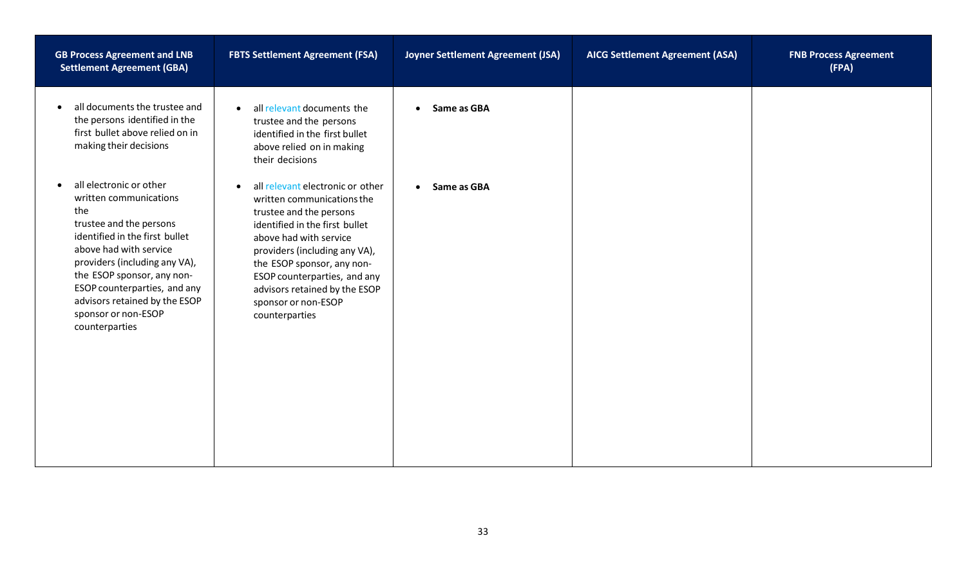| <b>GB Process Agreement and LNB</b><br><b>Settlement Agreement (GBA)</b>                                                                                                                                                                                                                                                              | <b>FBTS Settlement Agreement (FSA)</b>                                                                                                                                                                                                                                                                                                      | Joyner Settlement Agreement (JSA) | <b>AICG Settlement Agreement (ASA)</b> | <b>FNB Process Agreement</b><br>(FPA) |
|---------------------------------------------------------------------------------------------------------------------------------------------------------------------------------------------------------------------------------------------------------------------------------------------------------------------------------------|---------------------------------------------------------------------------------------------------------------------------------------------------------------------------------------------------------------------------------------------------------------------------------------------------------------------------------------------|-----------------------------------|----------------------------------------|---------------------------------------|
| all documents the trustee and<br>$\bullet$<br>the persons identified in the<br>first bullet above relied on in<br>making their decisions                                                                                                                                                                                              | all relevant documents the<br>$\bullet$<br>trustee and the persons<br>identified in the first bullet<br>above relied on in making<br>their decisions                                                                                                                                                                                        | Same as GBA<br>$\bullet$          |                                        |                                       |
| all electronic or other<br>$\bullet$<br>written communications<br>the<br>trustee and the persons<br>identified in the first bullet<br>above had with service<br>providers (including any VA),<br>the ESOP sponsor, any non-<br>ESOP counterparties, and any<br>advisors retained by the ESOP<br>sponsor or non-ESOP<br>counterparties | all relevant electronic or other<br>$\bullet$<br>written communications the<br>trustee and the persons<br>identified in the first bullet<br>above had with service<br>providers (including any VA),<br>the ESOP sponsor, any non-<br>ESOP counterparties, and any<br>advisors retained by the ESOP<br>sponsor or non-ESOP<br>counterparties | Same as GBA<br>$\bullet$          |                                        |                                       |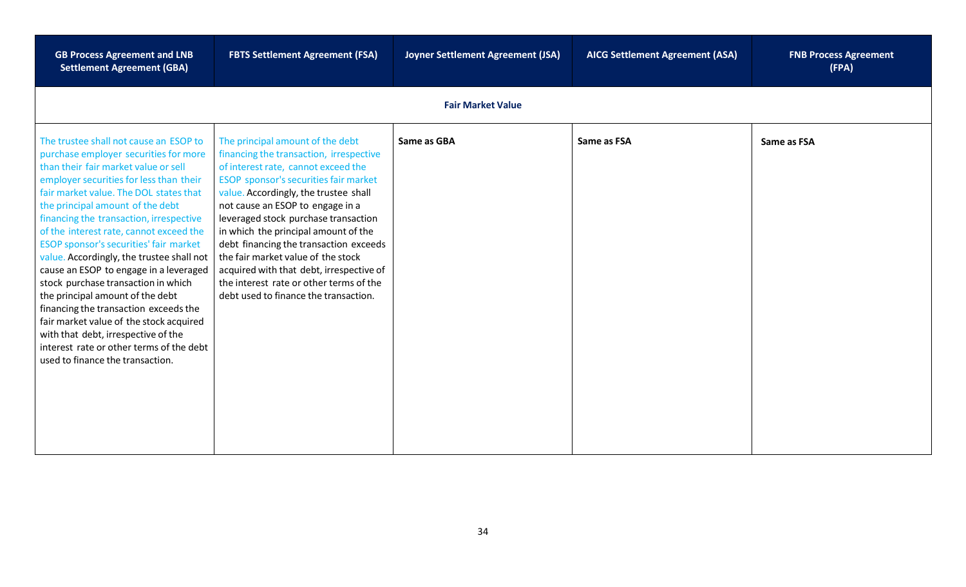| <b>GB Process Agreement and LNB</b><br><b>Settlement Agreement (GBA)</b>                                                                                                                                                                                                                                                                                                                                                                                                                                                                                                                                                                                                                                                                                      | <b>FBTS Settlement Agreement (FSA)</b>                                                                                                                                                                                                                                                                                                                                                                                                                                                                                                   | <b>Joyner Settlement Agreement (JSA)</b> | <b>AICG Settlement Agreement (ASA)</b> | <b>FNB Process Agreement</b><br>(FPA) |
|---------------------------------------------------------------------------------------------------------------------------------------------------------------------------------------------------------------------------------------------------------------------------------------------------------------------------------------------------------------------------------------------------------------------------------------------------------------------------------------------------------------------------------------------------------------------------------------------------------------------------------------------------------------------------------------------------------------------------------------------------------------|------------------------------------------------------------------------------------------------------------------------------------------------------------------------------------------------------------------------------------------------------------------------------------------------------------------------------------------------------------------------------------------------------------------------------------------------------------------------------------------------------------------------------------------|------------------------------------------|----------------------------------------|---------------------------------------|
|                                                                                                                                                                                                                                                                                                                                                                                                                                                                                                                                                                                                                                                                                                                                                               |                                                                                                                                                                                                                                                                                                                                                                                                                                                                                                                                          | <b>Fair Market Value</b>                 |                                        |                                       |
| The trustee shall not cause an ESOP to<br>purchase employer securities for more<br>than their fair market value or sell<br>employer securities for less than their<br>fair market value. The DOL states that<br>the principal amount of the debt<br>financing the transaction, irrespective<br>of the interest rate, cannot exceed the<br>ESOP sponsor's securities' fair market<br>value. Accordingly, the trustee shall not<br>cause an ESOP to engage in a leveraged<br>stock purchase transaction in which<br>the principal amount of the debt<br>financing the transaction exceeds the<br>fair market value of the stock acquired<br>with that debt, irrespective of the<br>interest rate or other terms of the debt<br>used to finance the transaction. | The principal amount of the debt<br>financing the transaction, irrespective<br>of interest rate, cannot exceed the<br>ESOP sponsor's securities fair market<br>value. Accordingly, the trustee shall<br>not cause an ESOP to engage in a<br>leveraged stock purchase transaction<br>in which the principal amount of the<br>debt financing the transaction exceeds<br>the fair market value of the stock<br>acquired with that debt, irrespective of<br>the interest rate or other terms of the<br>debt used to finance the transaction. | Same as GBA                              | Same as FSA                            | Same as FSA                           |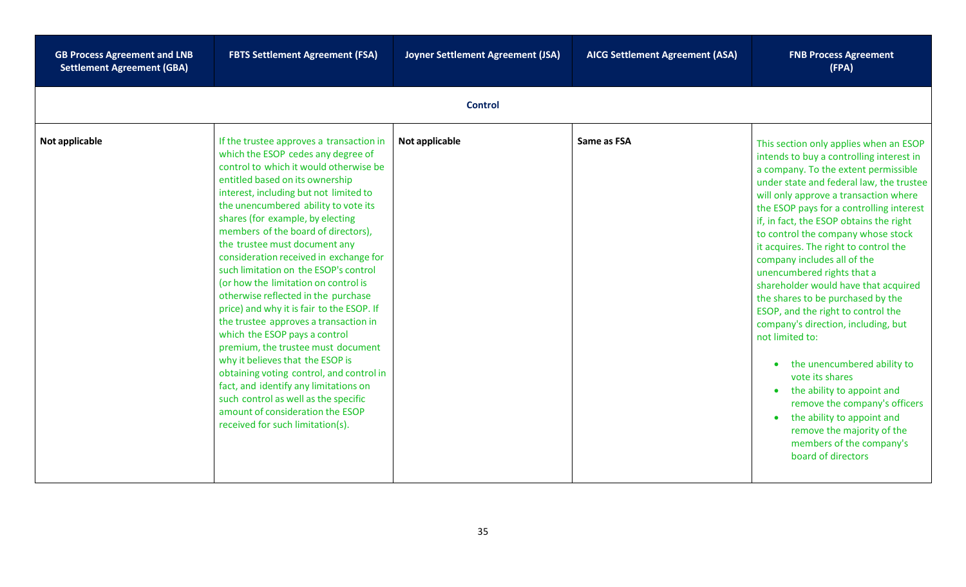| <b>GB Process Agreement and LNB</b><br><b>Settlement Agreement (GBA)</b> | <b>FBTS Settlement Agreement (FSA)</b>                                                                                                                                                                                                                                                                                                                                                                                                                                                                                                                                                                                                                                                                                                                                                                                                                                                                                            | Joyner Settlement Agreement (JSA) | <b>AICG Settlement Agreement (ASA)</b> | <b>FNB Process Agreement</b><br>(FPA)                                                                                                                                                                                                                                                                                                                                                                                                                                                                                                                                                                                                                                                                                                                                                                                                                          |
|--------------------------------------------------------------------------|-----------------------------------------------------------------------------------------------------------------------------------------------------------------------------------------------------------------------------------------------------------------------------------------------------------------------------------------------------------------------------------------------------------------------------------------------------------------------------------------------------------------------------------------------------------------------------------------------------------------------------------------------------------------------------------------------------------------------------------------------------------------------------------------------------------------------------------------------------------------------------------------------------------------------------------|-----------------------------------|----------------------------------------|----------------------------------------------------------------------------------------------------------------------------------------------------------------------------------------------------------------------------------------------------------------------------------------------------------------------------------------------------------------------------------------------------------------------------------------------------------------------------------------------------------------------------------------------------------------------------------------------------------------------------------------------------------------------------------------------------------------------------------------------------------------------------------------------------------------------------------------------------------------|
|                                                                          |                                                                                                                                                                                                                                                                                                                                                                                                                                                                                                                                                                                                                                                                                                                                                                                                                                                                                                                                   | <b>Control</b>                    |                                        |                                                                                                                                                                                                                                                                                                                                                                                                                                                                                                                                                                                                                                                                                                                                                                                                                                                                |
| Not applicable                                                           | If the trustee approves a transaction in<br>which the ESOP cedes any degree of<br>control to which it would otherwise be<br>entitled based on its ownership<br>interest, including but not limited to<br>the unencumbered ability to vote its<br>shares (for example, by electing<br>members of the board of directors),<br>the trustee must document any<br>consideration received in exchange for<br>such limitation on the ESOP's control<br>(or how the limitation on control is<br>otherwise reflected in the purchase<br>price) and why it is fair to the ESOP. If<br>the trustee approves a transaction in<br>which the ESOP pays a control<br>premium, the trustee must document<br>why it believes that the ESOP is<br>obtaining voting control, and control in<br>fact, and identify any limitations on<br>such control as well as the specific<br>amount of consideration the ESOP<br>received for such limitation(s). | Not applicable                    | Same as FSA                            | This section only applies when an ESOP<br>intends to buy a controlling interest in<br>a company. To the extent permissible<br>under state and federal law, the trustee<br>will only approve a transaction where<br>the ESOP pays for a controlling interest<br>if, in fact, the ESOP obtains the right<br>to control the company whose stock<br>it acquires. The right to control the<br>company includes all of the<br>unencumbered rights that a<br>shareholder would have that acquired<br>the shares to be purchased by the<br>ESOP, and the right to control the<br>company's direction, including, but<br>not limited to:<br>the unencumbered ability to<br>vote its shares<br>the ability to appoint and<br>remove the company's officers<br>the ability to appoint and<br>remove the majority of the<br>members of the company's<br>board of directors |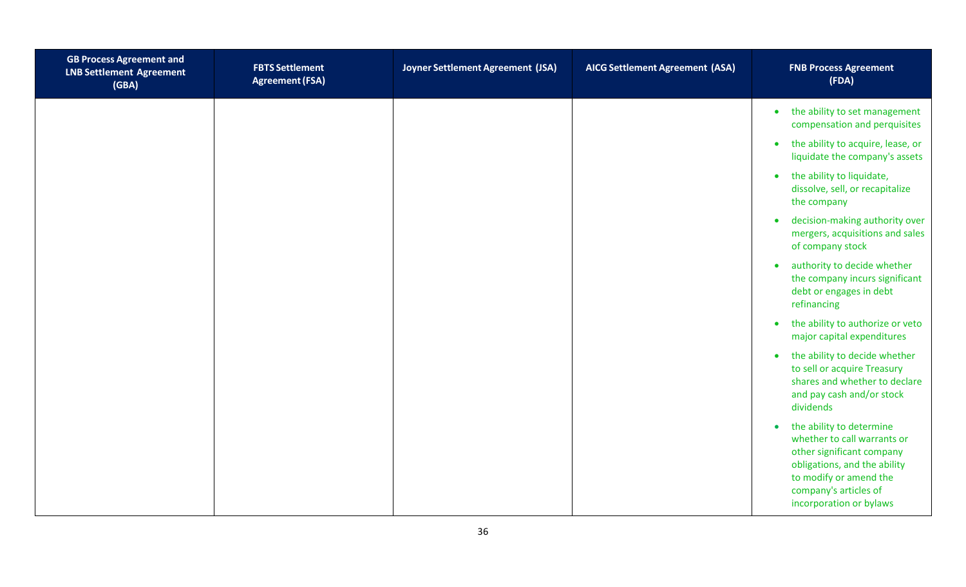| <b>GB Process Agreement and</b><br><b>LNB Settlement Agreement</b><br>(GBA) | <b>FBTS Settlement</b><br><b>Agreement (FSA)</b> | Joyner Settlement Agreement (JSA) | <b>AICG Settlement Agreement (ASA)</b> | <b>FNB Process Agreement</b><br>(FDA)                                                                                                                                                                           |
|-----------------------------------------------------------------------------|--------------------------------------------------|-----------------------------------|----------------------------------------|-----------------------------------------------------------------------------------------------------------------------------------------------------------------------------------------------------------------|
|                                                                             |                                                  |                                   |                                        | the ability to set management<br>$\bullet$<br>compensation and perquisites                                                                                                                                      |
|                                                                             |                                                  |                                   |                                        | the ability to acquire, lease, or<br>$\bullet$<br>liquidate the company's assets                                                                                                                                |
|                                                                             |                                                  |                                   |                                        | the ability to liquidate,<br>$\bullet$<br>dissolve, sell, or recapitalize<br>the company                                                                                                                        |
|                                                                             |                                                  |                                   |                                        | decision-making authority over<br>$\bullet$<br>mergers, acquisitions and sales<br>of company stock                                                                                                              |
|                                                                             |                                                  |                                   |                                        | authority to decide whether<br>$\bullet$<br>the company incurs significant<br>debt or engages in debt<br>refinancing                                                                                            |
|                                                                             |                                                  |                                   |                                        | the ability to authorize or veto<br>$\bullet$<br>major capital expenditures                                                                                                                                     |
|                                                                             |                                                  |                                   |                                        | the ability to decide whether<br>$\bullet$<br>to sell or acquire Treasury<br>shares and whether to declare<br>and pay cash and/or stock<br>dividends                                                            |
|                                                                             |                                                  |                                   |                                        | the ability to determine<br>$\bullet$<br>whether to call warrants or<br>other significant company<br>obligations, and the ability<br>to modify or amend the<br>company's articles of<br>incorporation or bylaws |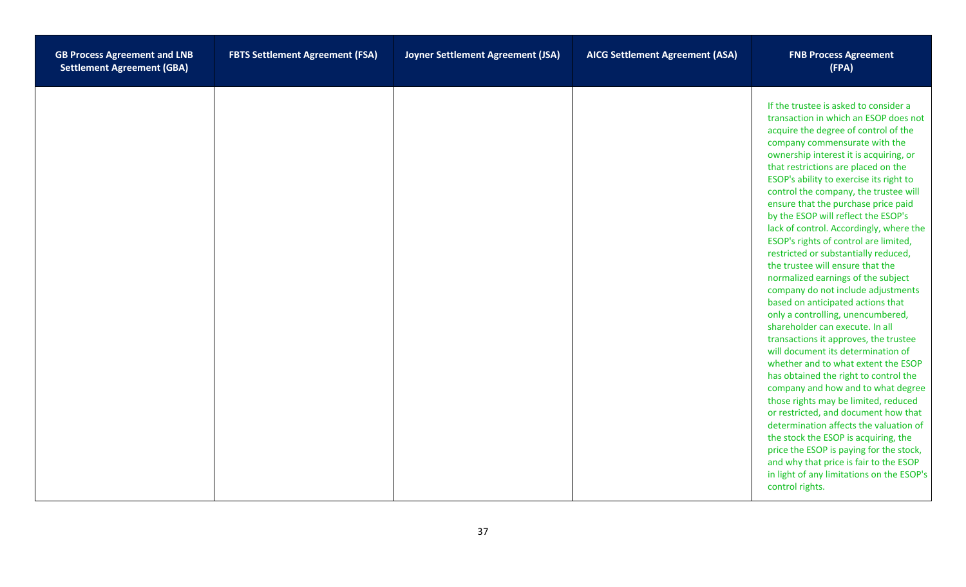| <b>GB Process Agreement and LNB</b><br><b>Settlement Agreement (GBA)</b> | <b>FBTS Settlement Agreement (FSA)</b> | Joyner Settlement Agreement (JSA) | <b>AICG Settlement Agreement (ASA)</b> | <b>FNB Process Agreement</b><br>(FPA)                                                                                                                                                                                                                                                                                                                                                                                                                                                                                                                                                                                                                                                                                                                                                                                                                                                                                                                                                                                                                                                                                                                                                                                                                                                           |
|--------------------------------------------------------------------------|----------------------------------------|-----------------------------------|----------------------------------------|-------------------------------------------------------------------------------------------------------------------------------------------------------------------------------------------------------------------------------------------------------------------------------------------------------------------------------------------------------------------------------------------------------------------------------------------------------------------------------------------------------------------------------------------------------------------------------------------------------------------------------------------------------------------------------------------------------------------------------------------------------------------------------------------------------------------------------------------------------------------------------------------------------------------------------------------------------------------------------------------------------------------------------------------------------------------------------------------------------------------------------------------------------------------------------------------------------------------------------------------------------------------------------------------------|
|                                                                          |                                        |                                   |                                        | If the trustee is asked to consider a<br>transaction in which an ESOP does not<br>acquire the degree of control of the<br>company commensurate with the<br>ownership interest it is acquiring, or<br>that restrictions are placed on the<br>ESOP's ability to exercise its right to<br>control the company, the trustee will<br>ensure that the purchase price paid<br>by the ESOP will reflect the ESOP's<br>lack of control. Accordingly, where the<br>ESOP's rights of control are limited,<br>restricted or substantially reduced,<br>the trustee will ensure that the<br>normalized earnings of the subject<br>company do not include adjustments<br>based on anticipated actions that<br>only a controlling, unencumbered,<br>shareholder can execute. In all<br>transactions it approves, the trustee<br>will document its determination of<br>whether and to what extent the ESOP<br>has obtained the right to control the<br>company and how and to what degree<br>those rights may be limited, reduced<br>or restricted, and document how that<br>determination affects the valuation of<br>the stock the ESOP is acquiring, the<br>price the ESOP is paying for the stock,<br>and why that price is fair to the ESOP<br>in light of any limitations on the ESOP's<br>control rights. |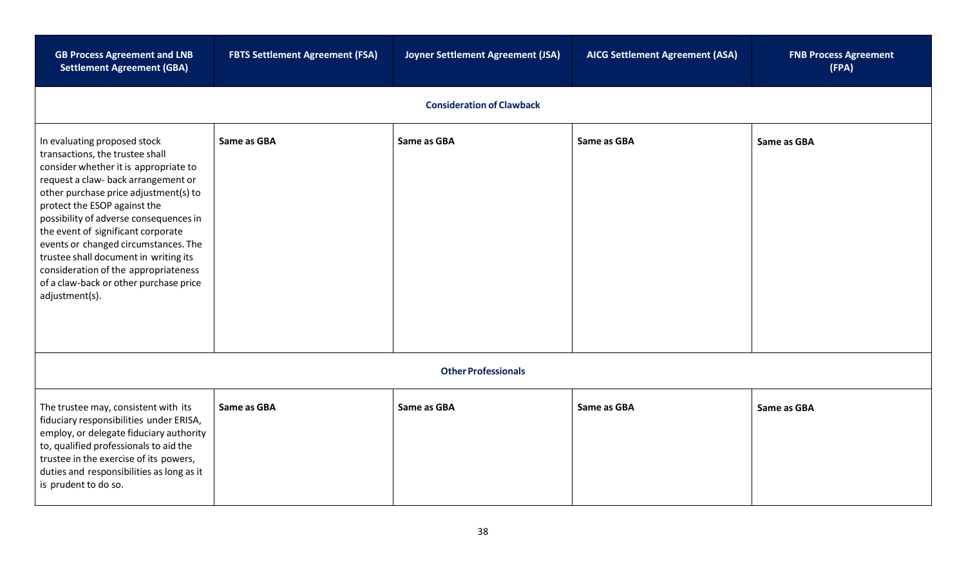| <b>GB Process Agreement and LNB</b><br><b>Settlement Agreement (GBA)</b>                                                                                                                                                                                                                                                                                                                                                                                                                      | <b>FBTS Settlement Agreement (FSA)</b> | Joyner Settlement Agreement (JSA) | <b>AICG Settlement Agreement (ASA)</b> | <b>FNB Process Agreement</b><br>(FPA) |  |
|-----------------------------------------------------------------------------------------------------------------------------------------------------------------------------------------------------------------------------------------------------------------------------------------------------------------------------------------------------------------------------------------------------------------------------------------------------------------------------------------------|----------------------------------------|-----------------------------------|----------------------------------------|---------------------------------------|--|
|                                                                                                                                                                                                                                                                                                                                                                                                                                                                                               |                                        | <b>Consideration of Clawback</b>  |                                        |                                       |  |
| In evaluating proposed stock<br>transactions, the trustee shall<br>consider whether it is appropriate to<br>request a claw- back arrangement or<br>other purchase price adjustment(s) to<br>protect the ESOP against the<br>possibility of adverse consequences in<br>the event of significant corporate<br>events or changed circumstances. The<br>trustee shall document in writing its<br>consideration of the appropriateness<br>of a claw-back or other purchase price<br>adjustment(s). | Same as GBA                            | Same as GBA                       | Same as GBA                            | Same as GBA                           |  |
| <b>Other Professionals</b>                                                                                                                                                                                                                                                                                                                                                                                                                                                                    |                                        |                                   |                                        |                                       |  |
| The trustee may, consistent with its<br>fiduciary responsibilities under ERISA,<br>employ, or delegate fiduciary authority<br>to, qualified professionals to aid the<br>trustee in the exercise of its powers,<br>duties and responsibilities as long as it<br>is prudent to do so.                                                                                                                                                                                                           | Same as GBA                            | Same as GBA                       | Same as GBA                            | Same as GBA                           |  |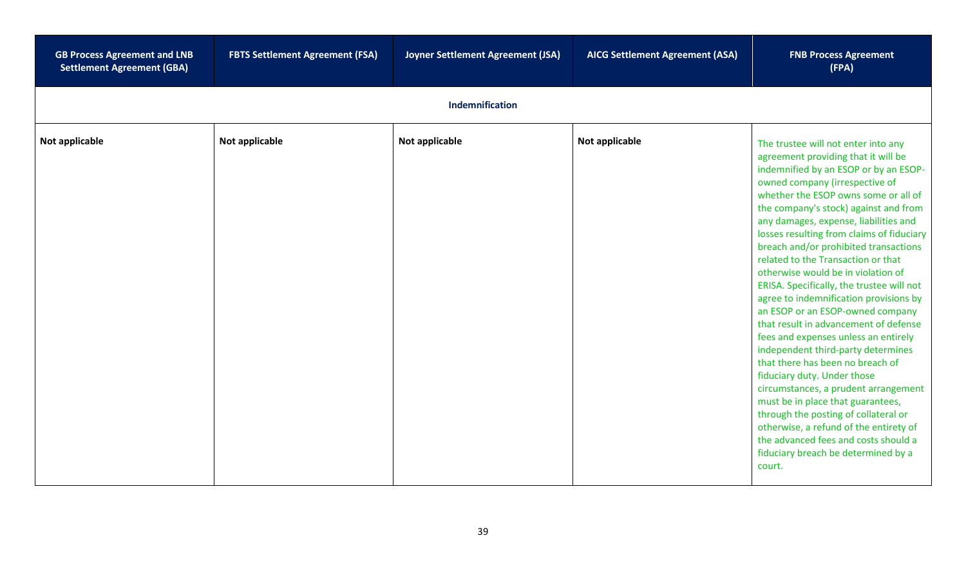| <b>GB Process Agreement and LNB</b><br><b>Settlement Agreement (GBA)</b> | <b>FBTS Settlement Agreement (FSA)</b> | Joyner Settlement Agreement (JSA) | <b>AICG Settlement Agreement (ASA)</b> | <b>FNB Process Agreement</b><br>(FPA)                                                                                                                                                                                                                                                                                                                                                                                                                                                                                                                                                                                                                                                                                                                                                                                                                                                                                                                                                                                          |
|--------------------------------------------------------------------------|----------------------------------------|-----------------------------------|----------------------------------------|--------------------------------------------------------------------------------------------------------------------------------------------------------------------------------------------------------------------------------------------------------------------------------------------------------------------------------------------------------------------------------------------------------------------------------------------------------------------------------------------------------------------------------------------------------------------------------------------------------------------------------------------------------------------------------------------------------------------------------------------------------------------------------------------------------------------------------------------------------------------------------------------------------------------------------------------------------------------------------------------------------------------------------|
|                                                                          |                                        | Indemnification                   |                                        |                                                                                                                                                                                                                                                                                                                                                                                                                                                                                                                                                                                                                                                                                                                                                                                                                                                                                                                                                                                                                                |
| Not applicable                                                           | Not applicable                         | Not applicable                    | Not applicable                         | The trustee will not enter into any<br>agreement providing that it will be<br>indemnified by an ESOP or by an ESOP-<br>owned company (irrespective of<br>whether the ESOP owns some or all of<br>the company's stock) against and from<br>any damages, expense, liabilities and<br>losses resulting from claims of fiduciary<br>breach and/or prohibited transactions<br>related to the Transaction or that<br>otherwise would be in violation of<br>ERISA. Specifically, the trustee will not<br>agree to indemnification provisions by<br>an ESOP or an ESOP-owned company<br>that result in advancement of defense<br>fees and expenses unless an entirely<br>independent third-party determines<br>that there has been no breach of<br>fiduciary duty. Under those<br>circumstances, a prudent arrangement<br>must be in place that guarantees,<br>through the posting of collateral or<br>otherwise, a refund of the entirety of<br>the advanced fees and costs should a<br>fiduciary breach be determined by a<br>court. |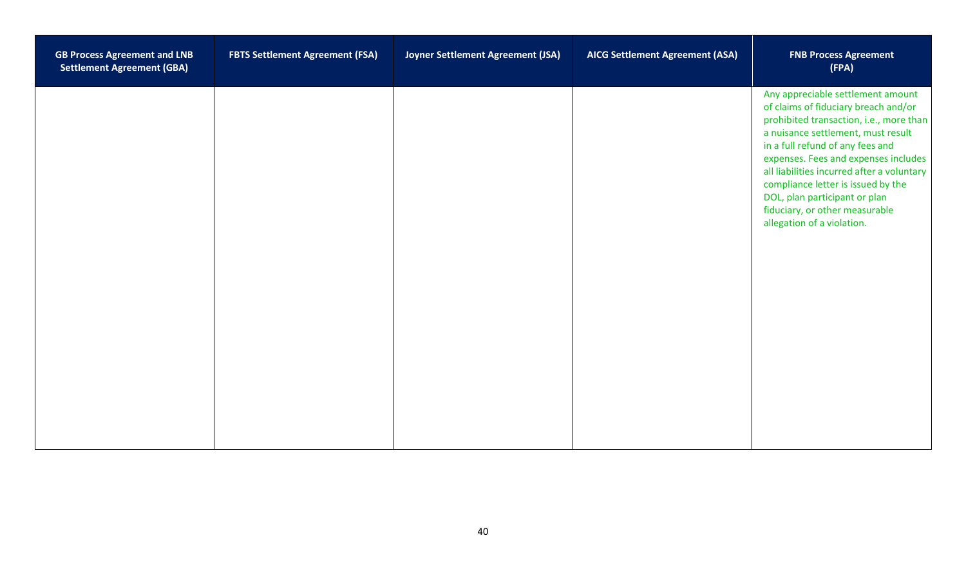| <b>GB Process Agreement and LNB</b><br><b>Settlement Agreement (GBA)</b> | <b>FBTS Settlement Agreement (FSA)</b> | Joyner Settlement Agreement (JSA) | <b>AICG Settlement Agreement (ASA)</b> | <b>FNB Process Agreement</b><br>(FPA)                                                                                                                                                                                                                                                                                                                                                                                       |
|--------------------------------------------------------------------------|----------------------------------------|-----------------------------------|----------------------------------------|-----------------------------------------------------------------------------------------------------------------------------------------------------------------------------------------------------------------------------------------------------------------------------------------------------------------------------------------------------------------------------------------------------------------------------|
|                                                                          |                                        |                                   |                                        | Any appreciable settlement amount<br>of claims of fiduciary breach and/or<br>prohibited transaction, i.e., more than<br>a nuisance settlement, must result<br>in a full refund of any fees and<br>expenses. Fees and expenses includes<br>all liabilities incurred after a voluntary<br>compliance letter is issued by the<br>DOL, plan participant or plan<br>fiduciary, or other measurable<br>allegation of a violation. |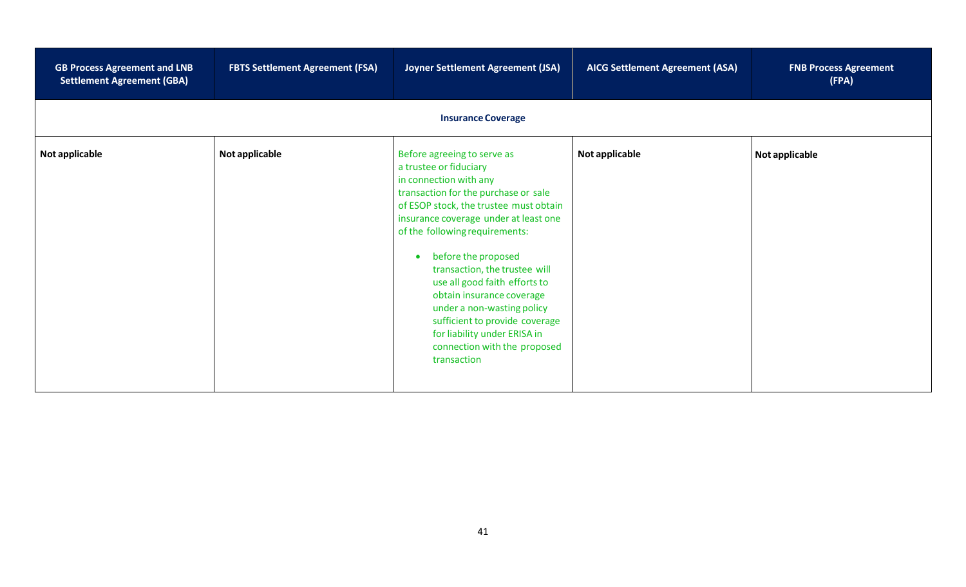| <b>GB Process Agreement and LNB</b><br><b>Settlement Agreement (GBA)</b> | <b>FBTS Settlement Agreement (FSA)</b> | Joyner Settlement Agreement (JSA)                                                                                                                                                                                                                                                                                                                                                                                                                                                                                 | <b>AICG Settlement Agreement (ASA)</b> | <b>FNB Process Agreement</b><br>(FPA) |  |  |  |
|--------------------------------------------------------------------------|----------------------------------------|-------------------------------------------------------------------------------------------------------------------------------------------------------------------------------------------------------------------------------------------------------------------------------------------------------------------------------------------------------------------------------------------------------------------------------------------------------------------------------------------------------------------|----------------------------------------|---------------------------------------|--|--|--|
|                                                                          | <b>Insurance Coverage</b>              |                                                                                                                                                                                                                                                                                                                                                                                                                                                                                                                   |                                        |                                       |  |  |  |
| Not applicable                                                           | Not applicable                         | Before agreeing to serve as<br>a trustee or fiduciary<br>in connection with any<br>transaction for the purchase or sale<br>of ESOP stock, the trustee must obtain<br>insurance coverage under at least one<br>of the following requirements:<br>before the proposed<br>transaction, the trustee will<br>use all good faith efforts to<br>obtain insurance coverage<br>under a non-wasting policy<br>sufficient to provide coverage<br>for liability under ERISA in<br>connection with the proposed<br>transaction | Not applicable                         | Not applicable                        |  |  |  |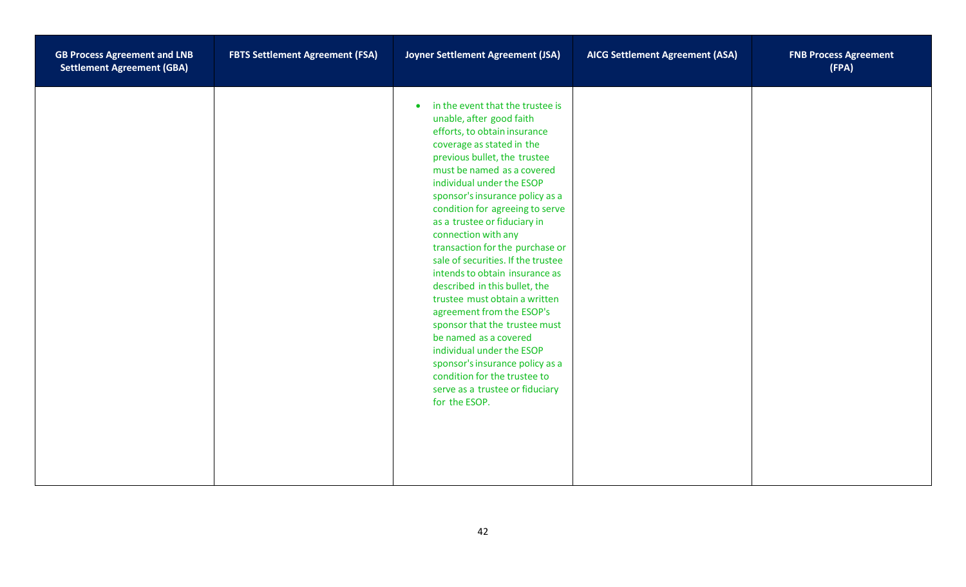| <b>GB Process Agreement and LNB</b><br><b>Settlement Agreement (GBA)</b> | <b>FBTS Settlement Agreement (FSA)</b> | Joyner Settlement Agreement (JSA)                                                                                                                                                                                                                                                                                                                                                                                                                                                                                                                                                                                                                                                                                                                                                      | <b>AICG Settlement Agreement (ASA)</b> | <b>FNB Process Agreement</b><br>(FPA) |
|--------------------------------------------------------------------------|----------------------------------------|----------------------------------------------------------------------------------------------------------------------------------------------------------------------------------------------------------------------------------------------------------------------------------------------------------------------------------------------------------------------------------------------------------------------------------------------------------------------------------------------------------------------------------------------------------------------------------------------------------------------------------------------------------------------------------------------------------------------------------------------------------------------------------------|----------------------------------------|---------------------------------------|
|                                                                          |                                        | in the event that the trustee is<br>$\bullet$<br>unable, after good faith<br>efforts, to obtain insurance<br>coverage as stated in the<br>previous bullet, the trustee<br>must be named as a covered<br>individual under the ESOP<br>sponsor's insurance policy as a<br>condition for agreeing to serve<br>as a trustee or fiduciary in<br>connection with any<br>transaction for the purchase or<br>sale of securities. If the trustee<br>intends to obtain insurance as<br>described in this bullet, the<br>trustee must obtain a written<br>agreement from the ESOP's<br>sponsor that the trustee must<br>be named as a covered<br>individual under the ESOP<br>sponsor's insurance policy as a<br>condition for the trustee to<br>serve as a trustee or fiduciary<br>for the ESOP. |                                        |                                       |